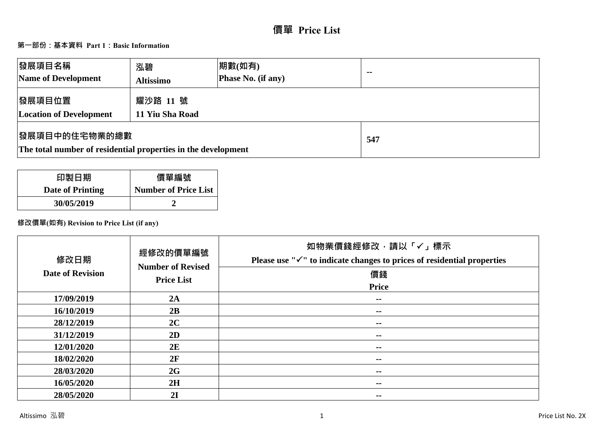# **價單 Price List**

## **第一部份:基本資料 Part 1:Basic Information**

| 發展項目名稱<br>Name of Development                                                          | 泓碧<br><b>Altissimo</b>      | 期數(如有)<br><b>Phase No. (if any)</b> | $-$ |
|----------------------------------------------------------------------------------------|-----------------------------|-------------------------------------|-----|
| 發展項目位置<br><b>Location of Development</b>                                               | 耀沙路 11 號<br>11 Yiu Sha Road |                                     |     |
| <b> 發展項目中的住宅物業的總數</b><br>The total number of residential properties in the development |                             | 547                                 |     |

| 印製日期             | 價單編號                        |
|------------------|-----------------------------|
| Date of Printing | <b>Number of Price List</b> |
| 30/05/2019       |                             |

## **修改價單(如有) Revision to Price List (if any)**

| 修改日期<br><b>Date of Revision</b> | 經修改的價單編號<br><b>Number of Revised</b><br><b>Price List</b> | 如物業價錢經修改,請以「✓」標示<br>Please use " $\checkmark$ " to indicate changes to prices of residential properties<br>價錢<br><b>Price</b> |
|---------------------------------|-----------------------------------------------------------|-------------------------------------------------------------------------------------------------------------------------------|
| 17/09/2019                      | 2A                                                        | $\sim$                                                                                                                        |
| 16/10/2019                      | 2B                                                        | $\sim$ $-$                                                                                                                    |
| 28/12/2019                      | 2C                                                        | $\sim$                                                                                                                        |
| 31/12/2019                      | 2D                                                        | $\sim$ $-$                                                                                                                    |
| 12/01/2020                      | 2E                                                        | --                                                                                                                            |
| 18/02/2020                      | 2F                                                        | $\sim$ $-$                                                                                                                    |
| 28/03/2020                      | 2G                                                        | $\sim$ $-$                                                                                                                    |
| 16/05/2020                      | 2H                                                        | $\sim$ $-$                                                                                                                    |
| 28/05/2020                      | 2I                                                        | --                                                                                                                            |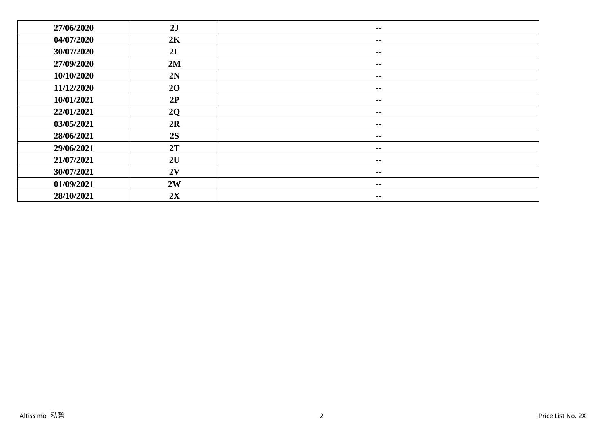| 27/06/2020 | 2J | $\sim$ $-$               |
|------------|----|--------------------------|
| 04/07/2020 | 2K | $\sim$ $-$               |
| 30/07/2020 | 2L | $\sim$ $-$               |
| 27/09/2020 | 2M | $\sim$ $-$               |
| 10/10/2020 | 2N | $\sim$ $-$               |
| 11/12/2020 | 20 | $\overline{\phantom{m}}$ |
| 10/01/2021 | 2P | $\sim$ $-$               |
| 22/01/2021 | 2Q | $\overline{\phantom{m}}$ |
| 03/05/2021 | 2R | $\sim$ $-$               |
| 28/06/2021 | 2S | $\sim$ $-$               |
| 29/06/2021 | 2T | $\sim$ $-$               |
| 21/07/2021 | 2U | $\sim$ $-$               |
| 30/07/2021 | 2V | $\sim$ $-$               |
| 01/09/2021 | 2W | $\overline{\phantom{m}}$ |
| 28/10/2021 | 2X | $\sim$ $\sim$            |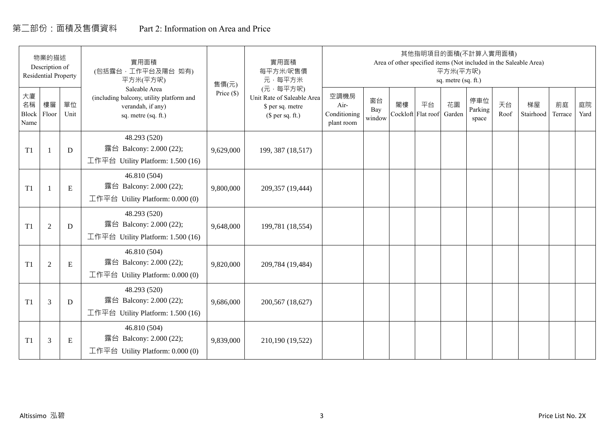## 第二部份:面積及售價資料 Part 2: Information on Area and Price

|                           | 物業的描述<br>Description of<br><b>Residential Property</b> |            | 實用面積<br>(包括露台,工作平台及陽台 如有)<br>平方米(平方呎)                                                                 | 售價(元)      | 實用面積<br>每平方米/呎售價<br>元·每平方米                                                     |                                            |                     |    |                          | 平方米(平方呎)<br>sq. metre (sq. ft.) | 其他指明項目的面積(不計算入實用面積)     |            | Area of other specified items (Not included in the Saleable Area) |               |            |
|---------------------------|--------------------------------------------------------|------------|-------------------------------------------------------------------------------------------------------|------------|--------------------------------------------------------------------------------|--------------------------------------------|---------------------|----|--------------------------|---------------------------------|-------------------------|------------|-------------------------------------------------------------------|---------------|------------|
| 大廈<br>名稱<br>Block<br>Name | 樓層<br>Floor                                            | 單位<br>Unit | Saleable Area<br>(including balcony, utility platform and<br>verandah, if any)<br>sq. metre (sq. ft.) | Price (\$) | (元·每平方呎)<br>Unit Rate of Saleable Area<br>\$ per sq. metre<br>$$$ per sq. ft.) | 空調機房<br>Air-<br>Conditioning<br>plant room | 窗台<br>Bay<br>window | 閣樓 | 平台<br>Cockloft Flat roof | 花園<br>Garden                    | 停車位<br>Parking<br>space | 天台<br>Roof | 梯屋<br>Stairhood                                                   | 前庭<br>Terrace | 庭院<br>Yard |
| T1                        |                                                        | D          | 48.293 (520)<br>露台 Balcony: 2.000 (22);<br>工作平台 Utility Platform: 1.500 (16)                          | 9,629,000  | 199, 387 (18,517)                                                              |                                            |                     |    |                          |                                 |                         |            |                                                                   |               |            |
| T1                        |                                                        | ${\bf E}$  | 46.810 (504)<br>露台 Balcony: 2.000 (22);<br>工作平台 Utility Platform: $0.000(0)$                          | 9,800,000  | 209,357 (19,444)                                                               |                                            |                     |    |                          |                                 |                         |            |                                                                   |               |            |
| T1                        | $\overline{2}$                                         | D          | 48.293 (520)<br>露台 Balcony: 2.000 (22);<br>工作平台 Utility Platform: 1.500 (16)                          | 9,648,000  | 199,781 (18,554)                                                               |                                            |                     |    |                          |                                 |                         |            |                                                                   |               |            |
| T1                        | 2                                                      | ${\bf E}$  | 46.810 (504)<br>露台 Balcony: 2.000 (22);<br>工作平台 Utility Platform: 0.000 (0)                           | 9,820,000  | 209,784 (19,484)                                                               |                                            |                     |    |                          |                                 |                         |            |                                                                   |               |            |
| T1                        | 3                                                      | D          | 48.293 (520)<br>露台 Balcony: 2.000 (22);<br>工作平台 Utility Platform: $1.500(16)$                         | 9,686,000  | 200,567 (18,627)                                                               |                                            |                     |    |                          |                                 |                         |            |                                                                   |               |            |
| T1                        | 3                                                      | Ε          | 46.810 (504)<br>露台 Balcony: 2.000 (22);<br>工作平台 Utility Platform: $0.000(0)$                          | 9,839,000  | 210,190 (19,522)                                                               |                                            |                     |    |                          |                                 |                         |            |                                                                   |               |            |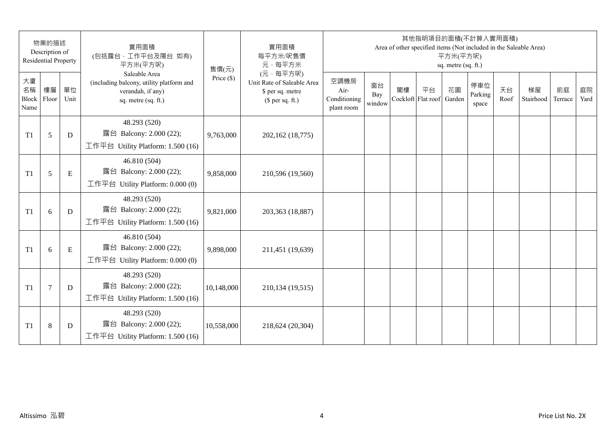|                                 | 物業的描述<br>Description of<br><b>Residential Property</b> |            | 實用面積<br>(包括露台,工作平台及陽台 如有)<br>平方米(平方呎)                                                                 | 售價(元)        | 實用面積<br>每平方米/呎售價<br>元·每平方米                                                     |                                            |                     |                          | 其他指明項目的面積(不計算入實用面積)<br>Area of other specified items (Not included in the Saleable Area) | 平方米(平方呎)<br>sq. metre (sq. ft.) |                         |            |                 |               |            |
|---------------------------------|--------------------------------------------------------|------------|-------------------------------------------------------------------------------------------------------|--------------|--------------------------------------------------------------------------------|--------------------------------------------|---------------------|--------------------------|------------------------------------------------------------------------------------------|---------------------------------|-------------------------|------------|-----------------|---------------|------------|
| 大廈<br>名稱<br>Block Floor<br>Name | 樓層                                                     | 單位<br>Unit | Saleable Area<br>(including balcony, utility platform and<br>verandah, if any)<br>sq. metre (sq. ft.) | Price $(\$)$ | (元·每平方呎)<br>Unit Rate of Saleable Area<br>\$ per sq. metre<br>$$$ per sq. ft.) | 空調機房<br>Air-<br>Conditioning<br>plant room | 窗台<br>Bay<br>window | 閣樓<br>Cockloft Flat roof | 平台                                                                                       | 花園<br>Garden                    | 停車位<br>Parking<br>space | 天台<br>Roof | 梯屋<br>Stairhood | 前庭<br>Terrace | 庭院<br>Yard |
| T1                              | 5                                                      | D          | 48.293 (520)<br>露台 Balcony: 2.000 (22);<br>工作平台 Utility Platform: 1.500 (16)                          | 9,763,000    | 202,162 (18,775)                                                               |                                            |                     |                          |                                                                                          |                                 |                         |            |                 |               |            |
| T1                              | 5                                                      | E          | 46.810 (504)<br>露台 Balcony: 2.000 (22);<br>工作平台 Utility Platform: 0.000 (0)                           | 9,858,000    | 210,596 (19,560)                                                               |                                            |                     |                          |                                                                                          |                                 |                         |            |                 |               |            |
| T1                              | 6                                                      | D          | 48.293 (520)<br>露台 Balcony: 2.000 (22);<br>工作平台 Utility Platform: 1.500 (16)                          | 9,821,000    | 203,363 (18,887)                                                               |                                            |                     |                          |                                                                                          |                                 |                         |            |                 |               |            |
| T1                              | 6                                                      | E          | 46.810 (504)<br>露台 Balcony: 2.000 (22);<br>工作平台 Utility Platform: 0.000 (0)                           | 9,898,000    | 211,451 (19,639)                                                               |                                            |                     |                          |                                                                                          |                                 |                         |            |                 |               |            |
| T1                              | $\overline{7}$                                         | D          | 48.293 (520)<br>露台 Balcony: 2.000 (22);<br>工作平台 Utility Platform: 1.500 (16)                          | 10,148,000   | 210,134 (19,515)                                                               |                                            |                     |                          |                                                                                          |                                 |                         |            |                 |               |            |
| T1                              | $\,8\,$                                                | D          | 48.293 (520)<br>露台 Balcony: 2.000 (22);<br>工作平台 Utility Platform: $1.500(16)$                         | 10,558,000   | 218,624 (20,304)                                                               |                                            |                     |                          |                                                                                          |                                 |                         |            |                 |               |            |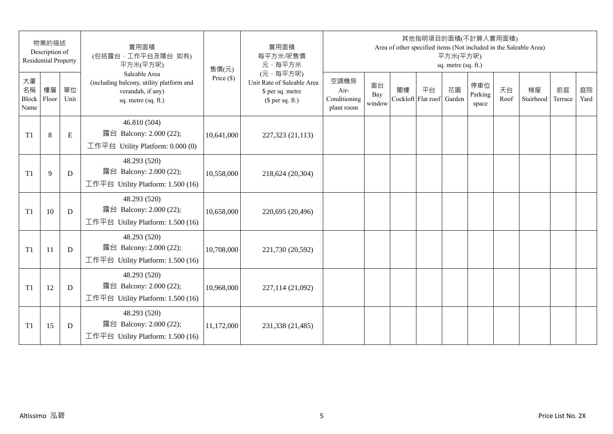|                           | 物業的描述<br>Description of<br><b>Residential Property</b> |             | 實用面積<br>(包括露台,工作平台及陽台 如有)<br>平方米(平方呎)                                                                 | 售價(元)        | 實用面積<br>每平方米/呎售價<br>元·每平方米                                                     |                                            |                     |    | 其他指明項目的面積(不計算入實用面積)      | 平方米(平方呎)<br>sq. metre (sq. ft.) |                         |            | Area of other specified items (Not included in the Saleable Area) |               |            |
|---------------------------|--------------------------------------------------------|-------------|-------------------------------------------------------------------------------------------------------|--------------|--------------------------------------------------------------------------------|--------------------------------------------|---------------------|----|--------------------------|---------------------------------|-------------------------|------------|-------------------------------------------------------------------|---------------|------------|
| 大廈<br>名稱<br>Block<br>Name | 樓層<br>Floor                                            | 單位<br>Unit  | Saleable Area<br>(including balcony, utility platform and<br>verandah, if any)<br>sq. metre (sq. ft.) | Price $(\$)$ | (元·每平方呎)<br>Unit Rate of Saleable Area<br>\$ per sq. metre<br>$$$ per sq. ft.) | 空調機房<br>Air-<br>Conditioning<br>plant room | 窗台<br>Bay<br>window | 閣樓 | 平台<br>Cockloft Flat roof | 花園<br>Garden                    | 停車位<br>Parking<br>space | 天台<br>Roof | 梯屋<br>Stairhood                                                   | 前庭<br>Terrace | 庭院<br>Yard |
| T <sub>1</sub>            | $8\,$                                                  | $\mathbf E$ | 46.810 (504)<br>露台 Balcony: 2.000 (22);<br>工作平台 Utility Platform: 0.000 (0)                           | 10,641,000   | 227,323 (21,113)                                                               |                                            |                     |    |                          |                                 |                         |            |                                                                   |               |            |
| T <sub>1</sub>            | 9                                                      | D           | 48.293 (520)<br>露台 Balcony: 2.000 (22);<br>工作平台 Utility Platform: 1.500 (16)                          | 10,558,000   | 218,624 (20,304)                                                               |                                            |                     |    |                          |                                 |                         |            |                                                                   |               |            |
| T <sub>1</sub>            | 10                                                     | D           | 48.293 (520)<br>露台 Balcony: 2.000 (22);<br>工作平台 Utility Platform: 1.500 (16)                          | 10,658,000   | 220,695 (20,496)                                                               |                                            |                     |    |                          |                                 |                         |            |                                                                   |               |            |
| T <sub>1</sub>            | 11                                                     | D           | 48.293 (520)<br>露台 Balcony: 2.000 (22);<br>工作平台 Utility Platform: 1.500 (16)                          | 10,708,000   | 221,730 (20,592)                                                               |                                            |                     |    |                          |                                 |                         |            |                                                                   |               |            |
| T <sub>1</sub>            | 12                                                     | D           | 48.293 (520)<br>露台 Balcony: 2.000 (22);<br>工作平台 Utility Platform: 1.500 (16)                          | 10,968,000   | 227,114 (21,092)                                                               |                                            |                     |    |                          |                                 |                         |            |                                                                   |               |            |
| T1                        | 15                                                     | D           | 48.293 (520)<br>露台 Balcony: 2.000 (22);<br>工作平台 Utility Platform: 1.500 (16)                          | 11,172,000   | 231,338 (21,485)                                                               |                                            |                     |    |                          |                                 |                         |            |                                                                   |               |            |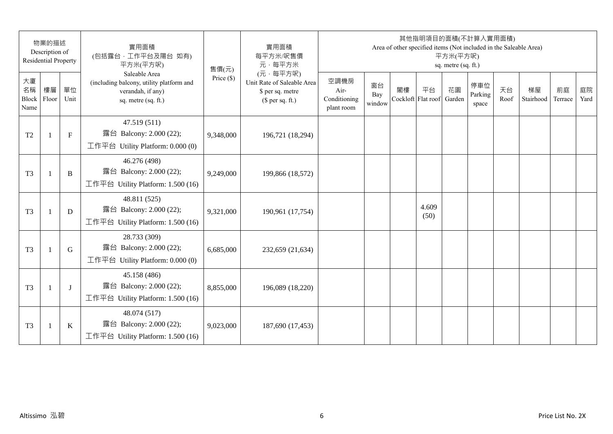|                           | 物業的描述<br>Description of<br><b>Residential Property</b> |              | 實用面積<br>(包括露台,工作平台及陽台 如有)<br>平方米(平方呎)                                                                 | 售價(元)        | 實用面積<br>每平方米/呎售價<br>元·每平方米                                                     |                                            |                     |    | 其他指明項目的面積(不計算入實用面積)<br>Area of other specified items (Not included in the Saleable Area) | 平方米(平方呎)<br>sq. metre (sq. ft.) |                         |            |                 |               |            |
|---------------------------|--------------------------------------------------------|--------------|-------------------------------------------------------------------------------------------------------|--------------|--------------------------------------------------------------------------------|--------------------------------------------|---------------------|----|------------------------------------------------------------------------------------------|---------------------------------|-------------------------|------------|-----------------|---------------|------------|
| 大廈<br>名稱<br>Block<br>Name | 樓層<br>Floor                                            | 單位<br>Unit   | Saleable Area<br>(including balcony, utility platform and<br>verandah, if any)<br>sq. metre (sq. ft.) | Price $(\$)$ | (元·每平方呎)<br>Unit Rate of Saleable Area<br>\$ per sq. metre<br>(\$ per sq. ft.) | 空調機房<br>Air-<br>Conditioning<br>plant room | 窗台<br>Bay<br>window | 閣樓 | 平台<br>Cockloft Flat roof                                                                 | 花園<br>Garden                    | 停車位<br>Parking<br>space | 天台<br>Roof | 梯屋<br>Stairhood | 前庭<br>Terrace | 庭院<br>Yard |
| T <sub>2</sub>            | -1                                                     | $\mathbf{F}$ | 47.519 (511)<br>露台 Balcony: 2.000 (22);<br>工作平台 Utility Platform: 0.000 (0)                           | 9,348,000    | 196,721 (18,294)                                                               |                                            |                     |    |                                                                                          |                                 |                         |            |                 |               |            |
| T <sub>3</sub>            | $\overline{1}$                                         | B            | 46.276 (498)<br>露台 Balcony: 2.000 (22);<br>工作平台 Utility Platform: 1.500 (16)                          | 9,249,000    | 199,866 (18,572)                                                               |                                            |                     |    |                                                                                          |                                 |                         |            |                 |               |            |
| T <sub>3</sub>            | $\mathbf{1}$                                           | D            | 48.811 (525)<br>露台 Balcony: 2.000 (22);<br>工作平台 Utility Platform: 1.500 (16)                          | 9,321,000    | 190,961 (17,754)                                                               |                                            |                     |    | 4.609<br>(50)                                                                            |                                 |                         |            |                 |               |            |
| T <sub>3</sub>            |                                                        | G            | 28.733 (309)<br>露台 Balcony: 2.000 (22);<br>工作平台 Utility Platform: 0.000 (0)                           | 6,685,000    | 232,659 (21,634)                                                               |                                            |                     |    |                                                                                          |                                 |                         |            |                 |               |            |
| T <sub>3</sub>            | $\mathbf{1}$                                           | J            | 45.158 (486)<br>露台 Balcony: 2.000 (22);<br>工作平台 Utility Platform: 1.500 (16)                          | 8,855,000    | 196,089 (18,220)                                                               |                                            |                     |    |                                                                                          |                                 |                         |            |                 |               |            |
| T <sub>3</sub>            | $\overline{1}$                                         | K            | 48.074 (517)<br>露台 Balcony: 2.000 (22);<br>工作平台 Utility Platform: $1.500(16)$                         | 9,023,000    | 187,690 (17,453)                                                               |                                            |                     |    |                                                                                          |                                 |                         |            |                 |               |            |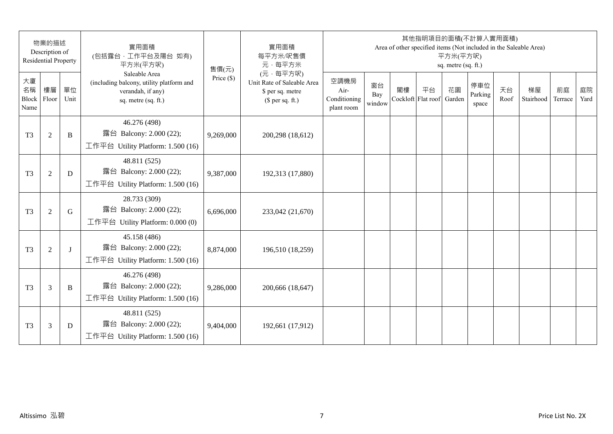|                                 | 物業的描述<br>Description of<br><b>Residential Property</b> |            | 實用面積<br>(包括露台,工作平台及陽台 如有)<br>平方米(平方呎)                                                                 | 售價(元)        | 實用面積<br>每平方米/呎售價<br>元·每平方米                                                     |                                            |                     |    | 其他指明項目的面積(不計算入實用面積)<br>Area of other specified items (Not included in the Saleable Area) | 平方米(平方呎)<br>sq. metre (sq. ft.) |                         |            |                 |               |            |
|---------------------------------|--------------------------------------------------------|------------|-------------------------------------------------------------------------------------------------------|--------------|--------------------------------------------------------------------------------|--------------------------------------------|---------------------|----|------------------------------------------------------------------------------------------|---------------------------------|-------------------------|------------|-----------------|---------------|------------|
| 大廈<br>名稱<br>Block Floor<br>Name | 樓層                                                     | 單位<br>Unit | Saleable Area<br>(including balcony, utility platform and<br>verandah, if any)<br>sq. metre (sq. ft.) | Price $(\$)$ | (元·每平方呎)<br>Unit Rate of Saleable Area<br>\$ per sq. metre<br>$$$ per sq. ft.) | 空調機房<br>Air-<br>Conditioning<br>plant room | 窗台<br>Bay<br>window | 閣樓 | 平台<br>Cockloft Flat roof                                                                 | 花園<br>Garden                    | 停車位<br>Parking<br>space | 天台<br>Roof | 梯屋<br>Stairhood | 前庭<br>Terrace | 庭院<br>Yard |
| T <sub>3</sub>                  | $\overline{2}$                                         | B          | 46.276 (498)<br>露台 Balcony: 2.000 (22);<br>工作平台 Utility Platform: 1.500 (16)                          | 9,269,000    | 200,298 (18,612)                                                               |                                            |                     |    |                                                                                          |                                 |                         |            |                 |               |            |
| T <sub>3</sub>                  | $\mathfrak{2}$                                         | D          | 48.811 (525)<br>露台 Balcony: 2.000 (22);<br>工作平台 Utility Platform: 1.500 (16)                          | 9,387,000    | 192,313 (17,880)                                                               |                                            |                     |    |                                                                                          |                                 |                         |            |                 |               |            |
| T <sub>3</sub>                  | $\mathfrak{2}$                                         | G          | 28.733 (309)<br>露台 Balcony: 2.000 (22);<br>工作平台 Utility Platform: 0.000 (0)                           | 6,696,000    | 233,042 (21,670)                                                               |                                            |                     |    |                                                                                          |                                 |                         |            |                 |               |            |
| T <sub>3</sub>                  | $\overline{2}$                                         | $\bf{J}$   | 45.158 (486)<br>露台 Balcony: 2.000 (22);<br>工作平台 Utility Platform: 1.500 (16)                          | 8,874,000    | 196,510 (18,259)                                                               |                                            |                     |    |                                                                                          |                                 |                         |            |                 |               |            |
| T <sub>3</sub>                  | 3                                                      | B          | 46.276 (498)<br>露台 Balcony: 2.000 (22);<br>工作平台 Utility Platform: 1.500 (16)                          | 9,286,000    | 200,666 (18,647)                                                               |                                            |                     |    |                                                                                          |                                 |                         |            |                 |               |            |
| T <sub>3</sub>                  | 3                                                      | D          | 48.811 (525)<br>露台 Balcony: 2.000 (22);<br>工作平台 Utility Platform: 1.500 (16)                          | 9,404,000    | 192,661 (17,912)                                                               |                                            |                     |    |                                                                                          |                                 |                         |            |                 |               |            |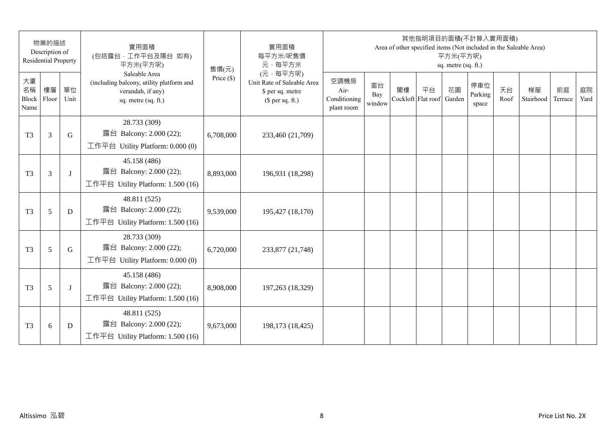|                                 | 物業的描述<br>Description of<br><b>Residential Property</b> |            | 實用面積<br>(包括露台,工作平台及陽台 如有)<br>平方米(平方呎)                                                                 | 售價(元)        | 實用面積<br>每平方米/呎售價<br>元·每平方米                                                     |                                            |                     |                          | 其他指明項目的面積(不計算入實用面積)<br>Area of other specified items (Not included in the Saleable Area) | 平方米(平方呎)<br>sq. metre (sq. ft.) |                         |            |                 |               |            |
|---------------------------------|--------------------------------------------------------|------------|-------------------------------------------------------------------------------------------------------|--------------|--------------------------------------------------------------------------------|--------------------------------------------|---------------------|--------------------------|------------------------------------------------------------------------------------------|---------------------------------|-------------------------|------------|-----------------|---------------|------------|
| 大廈<br>名稱<br>Block Floor<br>Name | 樓層                                                     | 單位<br>Unit | Saleable Area<br>(including balcony, utility platform and<br>verandah, if any)<br>sq. metre (sq. ft.) | Price $(\$)$ | (元·每平方呎)<br>Unit Rate of Saleable Area<br>\$ per sq. metre<br>$$$ per sq. ft.) | 空調機房<br>Air-<br>Conditioning<br>plant room | 窗台<br>Bay<br>window | 閣樓<br>Cockloft Flat roof | 平台                                                                                       | 花園<br>Garden                    | 停車位<br>Parking<br>space | 天台<br>Roof | 梯屋<br>Stairhood | 前庭<br>Terrace | 庭院<br>Yard |
| T <sub>3</sub>                  | 3                                                      | G          | 28.733 (309)<br>露台 Balcony: 2.000 (22);<br>工作平台 Utility Platform: 0.000 (0)                           | 6,708,000    | 233,460 (21,709)                                                               |                                            |                     |                          |                                                                                          |                                 |                         |            |                 |               |            |
| T <sub>3</sub>                  | 3                                                      | J          | 45.158 (486)<br>露台 Balcony: 2.000 (22);<br>工作平台 Utility Platform: 1.500 (16)                          | 8,893,000    | 196,931 (18,298)                                                               |                                            |                     |                          |                                                                                          |                                 |                         |            |                 |               |            |
| T <sub>3</sub>                  | 5                                                      | D          | 48.811 (525)<br>露台 Balcony: 2.000 (22);<br>工作平台 Utility Platform: 1.500 (16)                          | 9,539,000    | 195,427 (18,170)                                                               |                                            |                     |                          |                                                                                          |                                 |                         |            |                 |               |            |
| T <sub>3</sub>                  | 5                                                      | G          | 28.733 (309)<br>露台 Balcony: 2.000 (22);<br>工作平台 Utility Platform: 0.000 (0)                           | 6,720,000    | 233,877 (21,748)                                                               |                                            |                     |                          |                                                                                          |                                 |                         |            |                 |               |            |
| T <sub>3</sub>                  | 5                                                      | J          | 45.158 (486)<br>露台 Balcony: 2.000 (22);<br>工作平台 Utility Platform: 1.500 (16)                          | 8,908,000    | 197,263 (18,329)                                                               |                                            |                     |                          |                                                                                          |                                 |                         |            |                 |               |            |
| T <sub>3</sub>                  | $6\,$                                                  | D          | 48.811 (525)<br>露台 Balcony: 2.000 (22);<br>工作平台 Utility Platform: $1.500(16)$                         | 9,673,000    | 198,173 (18,425)                                                               |                                            |                     |                          |                                                                                          |                                 |                         |            |                 |               |            |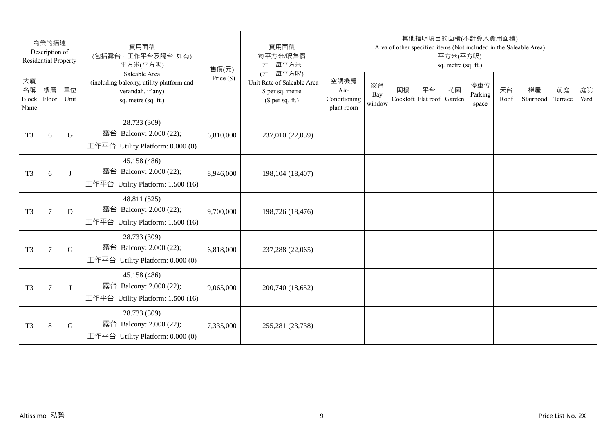|                                 | 物業的描述<br>Description of<br><b>Residential Property</b> |            | 實用面積<br>(包括露台, 工作平台及陽台 如有)<br>平方米(平方呎)                                                                | 售價(元)        | 實用面積<br>每平方米/呎售價<br>元·每平方米                                                     |                                            |                     |                          | 其他指明項目的面積(不計算入實用面積) | 平方米(平方呎)<br>sq. metre (sq. ft.) |                         |            | Area of other specified items (Not included in the Saleable Area) |               |            |
|---------------------------------|--------------------------------------------------------|------------|-------------------------------------------------------------------------------------------------------|--------------|--------------------------------------------------------------------------------|--------------------------------------------|---------------------|--------------------------|---------------------|---------------------------------|-------------------------|------------|-------------------------------------------------------------------|---------------|------------|
| 大廈<br>名稱<br>Block Floor<br>Name | 樓層                                                     | 單位<br>Unit | Saleable Area<br>(including balcony, utility platform and<br>verandah, if any)<br>sq. metre (sq. ft.) | Price $(\$)$ | (元·每平方呎)<br>Unit Rate of Saleable Area<br>\$ per sq. metre<br>$$$ per sq. ft.) | 空調機房<br>Air-<br>Conditioning<br>plant room | 窗台<br>Bay<br>window | 閣樓<br>Cockloft Flat roof | 平台                  | 花園<br>Garden                    | 停車位<br>Parking<br>space | 天台<br>Roof | 梯屋<br>Stairhood                                                   | 前庭<br>Terrace | 庭院<br>Yard |
| T <sub>3</sub>                  | 6                                                      | G          | 28.733 (309)<br>露台 Balcony: 2.000 (22);<br>工作平台 Utility Platform: 0.000 (0)                           | 6,810,000    | 237,010 (22,039)                                                               |                                            |                     |                          |                     |                                 |                         |            |                                                                   |               |            |
| T <sub>3</sub>                  | 6                                                      | $\bf{J}$   | 45.158 (486)<br>露台 Balcony: 2.000 (22);<br>工作平台 Utility Platform: 1.500 (16)                          | 8,946,000    | 198, 104 (18, 407)                                                             |                                            |                     |                          |                     |                                 |                         |            |                                                                   |               |            |
| T <sub>3</sub>                  | $\tau$                                                 | D          | 48.811 (525)<br>露台 Balcony: 2.000 (22);<br>工作平台 Utility Platform: 1.500 (16)                          | 9,700,000    | 198,726 (18,476)                                                               |                                            |                     |                          |                     |                                 |                         |            |                                                                   |               |            |
| T <sub>3</sub>                  | $\overline{7}$                                         | G          | 28.733 (309)<br>露台 Balcony: 2.000 (22);<br>工作平台 Utility Platform: 0.000 (0)                           | 6,818,000    | 237,288 (22,065)                                                               |                                            |                     |                          |                     |                                 |                         |            |                                                                   |               |            |
| T <sub>3</sub>                  | 7                                                      | J          | 45.158 (486)<br>露台 Balcony: 2.000 (22);<br>工作平台 Utility Platform: 1.500 (16)                          | 9,065,000    | 200,740 (18,652)                                                               |                                            |                     |                          |                     |                                 |                         |            |                                                                   |               |            |
| T <sub>3</sub>                  | $\,8\,$                                                | G          | 28.733 (309)<br>露台 Balcony: 2.000 (22);<br>工作平台 Utility Platform: 0.000 (0)                           | 7,335,000    | 255,281 (23,738)                                                               |                                            |                     |                          |                     |                                 |                         |            |                                                                   |               |            |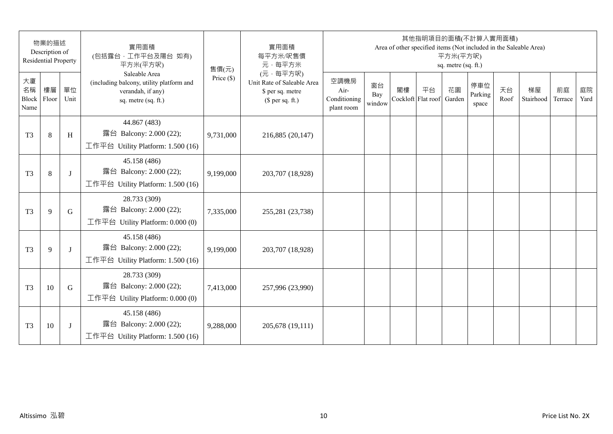|                                 | 物業的描述<br>Description of<br><b>Residential Property</b> |            | 實用面積<br>(包括露台,工作平台及陽台 如有)<br>平方米(平方呎)                                                                 | 售價(元)        | 實用面積<br>每平方米/呎售價<br>元·每平方米                                                     |                                            |                     |    | 其他指明項目的面積(不計算入實用面積)<br>Area of other specified items (Not included in the Saleable Area) | 平方米(平方呎)<br>sq. metre (sq. ft.) |                         |            |                 |               |            |
|---------------------------------|--------------------------------------------------------|------------|-------------------------------------------------------------------------------------------------------|--------------|--------------------------------------------------------------------------------|--------------------------------------------|---------------------|----|------------------------------------------------------------------------------------------|---------------------------------|-------------------------|------------|-----------------|---------------|------------|
| 大廈<br>名稱<br>Block Floor<br>Name | 樓層                                                     | 單位<br>Unit | Saleable Area<br>(including balcony, utility platform and<br>verandah, if any)<br>sq. metre (sq. ft.) | Price $(\$)$ | (元·每平方呎)<br>Unit Rate of Saleable Area<br>\$ per sq. metre<br>$$$ per sq. ft.) | 空調機房<br>Air-<br>Conditioning<br>plant room | 窗台<br>Bay<br>window | 閣樓 | 平台<br>Cockloft Flat roof                                                                 | 花園<br>Garden                    | 停車位<br>Parking<br>space | 天台<br>Roof | 梯屋<br>Stairhood | 前庭<br>Terrace | 庭院<br>Yard |
| T <sub>3</sub>                  | $\,8\,$                                                | H          | 44.867 (483)<br>露台 Balcony: 2.000 (22);<br>工作平台 Utility Platform: 1.500 (16)                          | 9,731,000    | 216,885 (20,147)                                                               |                                            |                     |    |                                                                                          |                                 |                         |            |                 |               |            |
| T <sub>3</sub>                  | $\,8\,$                                                | J          | 45.158 (486)<br>露台 Balcony: 2.000 (22);<br>工作平台 Utility Platform: 1.500 (16)                          | 9,199,000    | 203,707 (18,928)                                                               |                                            |                     |    |                                                                                          |                                 |                         |            |                 |               |            |
| T <sub>3</sub>                  | 9                                                      | G          | 28.733 (309)<br>露台 Balcony: 2.000 (22);<br>工作平台 Utility Platform: 0.000 (0)                           | 7,335,000    | 255,281 (23,738)                                                               |                                            |                     |    |                                                                                          |                                 |                         |            |                 |               |            |
| T <sub>3</sub>                  | 9                                                      | $\bf{J}$   | 45.158 (486)<br>露台 Balcony: 2.000 (22);<br>工作平台 Utility Platform: 1.500 (16)                          | 9,199,000    | 203,707 (18,928)                                                               |                                            |                     |    |                                                                                          |                                 |                         |            |                 |               |            |
| T <sub>3</sub>                  | 10                                                     | G          | 28.733 (309)<br>露台 Balcony: 2.000 (22);<br>工作平台 Utility Platform: 0.000 (0)                           | 7,413,000    | 257,996 (23,990)                                                               |                                            |                     |    |                                                                                          |                                 |                         |            |                 |               |            |
| T <sub>3</sub>                  | 10                                                     | J          | 45.158 (486)<br>露台 Balcony: 2.000 (22);<br>工作平台 Utility Platform: $1.500(16)$                         | 9,288,000    | 205,678 (19,111)                                                               |                                            |                     |    |                                                                                          |                                 |                         |            |                 |               |            |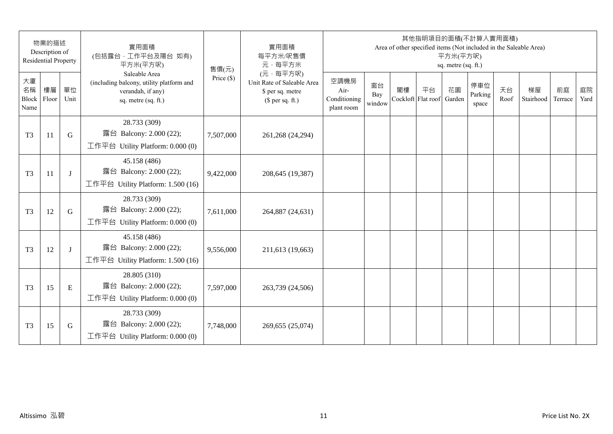| 物業的描述<br>Description of<br><b>Residential Property</b> |    |            | 實用面積<br>(包括露台,工作平台及陽台 如有)<br>平方米(平方呎)                                                                 | 售價(元)        | 實用面積<br>每平方米/呎售價<br>元·每平方米                                                     | 其他指明項目的面積(不計算入實用面積)<br>Area of other specified items (Not included in the Saleable Area)<br>平方米(平方呎)<br>sq. metre (sq. ft.) |                     |    |                          |              |                         |            |                 |               |            |
|--------------------------------------------------------|----|------------|-------------------------------------------------------------------------------------------------------|--------------|--------------------------------------------------------------------------------|-----------------------------------------------------------------------------------------------------------------------------|---------------------|----|--------------------------|--------------|-------------------------|------------|-----------------|---------------|------------|
| 大廈<br>名稱<br>Block Floor<br>Name                        | 樓層 | 單位<br>Unit | Saleable Area<br>(including balcony, utility platform and<br>verandah, if any)<br>sq. metre (sq. ft.) | Price $(\$)$ | (元·每平方呎)<br>Unit Rate of Saleable Area<br>\$ per sq. metre<br>$$$ per sq. ft.) | 空調機房<br>Air-<br>Conditioning<br>plant room                                                                                  | 窗台<br>Bay<br>window | 閣樓 | 平台<br>Cockloft Flat roof | 花園<br>Garden | 停車位<br>Parking<br>space | 天台<br>Roof | 梯屋<br>Stairhood | 前庭<br>Terrace | 庭院<br>Yard |
| T <sub>3</sub>                                         | 11 | G          | 28.733 (309)<br>露台 Balcony: 2.000 (22);<br>工作平台 Utility Platform: 0.000 (0)                           | 7,507,000    | 261,268 (24,294)                                                               |                                                                                                                             |                     |    |                          |              |                         |            |                 |               |            |
| T <sub>3</sub>                                         | 11 | J          | 45.158 (486)<br>露台 Balcony: 2.000 (22);<br>工作平台 Utility Platform: 1.500 (16)                          | 9,422,000    | 208,645 (19,387)                                                               |                                                                                                                             |                     |    |                          |              |                         |            |                 |               |            |
| T <sub>3</sub>                                         | 12 | G          | 28.733 (309)<br>露台 Balcony: 2.000 (22);<br>工作平台 Utility Platform: 0.000 (0)                           | 7,611,000    | 264,887 (24,631)                                                               |                                                                                                                             |                     |    |                          |              |                         |            |                 |               |            |
| T <sub>3</sub>                                         | 12 | J          | 45.158 (486)<br>露台 Balcony: 2.000 (22);<br>工作平台 Utility Platform: 1.500 (16)                          | 9,556,000    | 211,613 (19,663)                                                               |                                                                                                                             |                     |    |                          |              |                         |            |                 |               |            |
| T <sub>3</sub>                                         | 15 | E          | 28.805 (310)<br>露台 Balcony: 2.000 (22);<br>工作平台 Utility Platform: $0.000(0)$                          | 7,597,000    | 263,739 (24,506)                                                               |                                                                                                                             |                     |    |                          |              |                         |            |                 |               |            |
| T <sub>3</sub>                                         | 15 | G          | 28.733 (309)<br>露台 Balcony: 2.000 (22);<br>工作平台 Utility Platform: 0.000 (0)                           | 7,748,000    | 269,655 (25,074)                                                               |                                                                                                                             |                     |    |                          |              |                         |            |                 |               |            |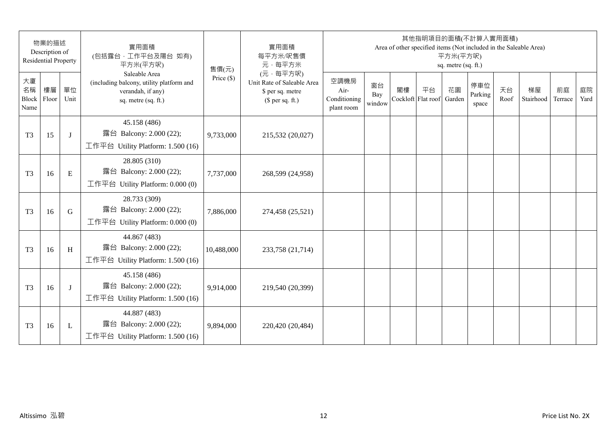| 物業的描述<br>Description of<br><b>Residential Property</b> |    |              | 實用面積<br>(包括露台,工作平台及陽台 如有)<br>平方米(平方呎)                                                                 | 售價(元)        | 實用面積<br>每平方米/呎售價<br>元·每平方米                                                     | 其他指明項目的面積(不計算入實用面積)<br>Area of other specified items (Not included in the Saleable Area)<br>平方米(平方呎)<br>sq. metre (sq. ft.) |                     |                          |    |              |                         |            |                 |               |            |
|--------------------------------------------------------|----|--------------|-------------------------------------------------------------------------------------------------------|--------------|--------------------------------------------------------------------------------|-----------------------------------------------------------------------------------------------------------------------------|---------------------|--------------------------|----|--------------|-------------------------|------------|-----------------|---------------|------------|
| 大廈<br>名稱<br>Block Floor<br>Name                        | 樓層 | 單位<br>Unit   | Saleable Area<br>(including balcony, utility platform and<br>verandah, if any)<br>sq. metre (sq. ft.) | Price $(\$)$ | (元·每平方呎)<br>Unit Rate of Saleable Area<br>\$ per sq. metre<br>$$$ per sq. ft.) | 空調機房<br>Air-<br>Conditioning<br>plant room                                                                                  | 窗台<br>Bay<br>window | 閣樓<br>Cockloft Flat roof | 平台 | 花園<br>Garden | 停車位<br>Parking<br>space | 天台<br>Roof | 梯屋<br>Stairhood | 前庭<br>Terrace | 庭院<br>Yard |
| T <sub>3</sub>                                         | 15 | J            | 45.158 (486)<br>露台 Balcony: 2.000 (22);<br>工作平台 Utility Platform: 1.500 (16)                          | 9,733,000    | 215,532 (20,027)                                                               |                                                                                                                             |                     |                          |    |              |                         |            |                 |               |            |
| T <sub>3</sub>                                         | 16 | E            | 28.805 (310)<br>露台 Balcony: 2.000 (22);<br>工作平台 Utility Platform: 0.000 (0)                           | 7,737,000    | 268,599 (24,958)                                                               |                                                                                                                             |                     |                          |    |              |                         |            |                 |               |            |
| T <sub>3</sub>                                         | 16 | G            | 28.733 (309)<br>露台 Balcony: 2.000 (22);<br>工作平台 Utility Platform: 0.000 (0)                           | 7,886,000    | 274,458 (25,521)                                                               |                                                                                                                             |                     |                          |    |              |                         |            |                 |               |            |
| T <sub>3</sub>                                         | 16 | H            | 44.867 (483)<br>露台 Balcony: 2.000 (22);<br>工作平台 Utility Platform: 1.500 (16)                          | 10,488,000   | 233,758 (21,714)                                                               |                                                                                                                             |                     |                          |    |              |                         |            |                 |               |            |
| T <sub>3</sub>                                         | 16 | J            | 45.158 (486)<br>露台 Balcony: 2.000 (22);<br>工作平台 Utility Platform: 1.500 (16)                          | 9,914,000    | 219,540 (20,399)                                                               |                                                                                                                             |                     |                          |    |              |                         |            |                 |               |            |
| T <sub>3</sub>                                         | 16 | $\mathbf{L}$ | 44.887 (483)<br>露台 Balcony: 2.000 (22);<br>工作平台 Utility Platform: $1.500(16)$                         | 9,894,000    | 220,420 (20,484)                                                               |                                                                                                                             |                     |                          |    |              |                         |            |                 |               |            |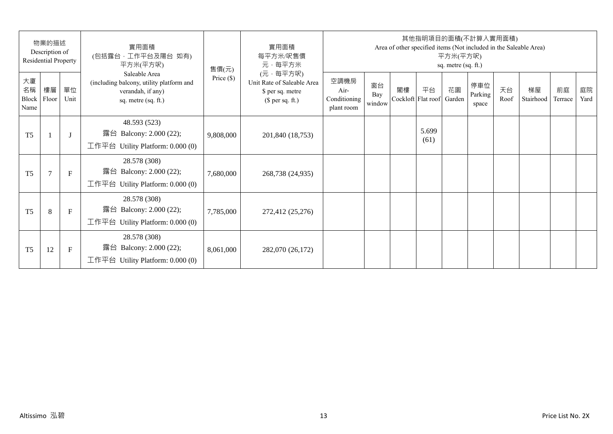| 物業的描述<br>Description of<br>Residential Property |                |              | 實用面積<br>(包括露台,工作平台及陽台 如有)<br>平方米(平方呎)                                                                 | 售價(元)        | 實用面積<br>每平方米/呎售價<br>元·每平方米                                                     | 其他指明項目的面積(不計算入實用面積)<br>Area of other specified items (Not included in the Saleable Area)<br>平方米(平方呎)<br>sq. metre (sq. ft.) |                     |    |                          |              |                         |            |                 |               |            |  |
|-------------------------------------------------|----------------|--------------|-------------------------------------------------------------------------------------------------------|--------------|--------------------------------------------------------------------------------|-----------------------------------------------------------------------------------------------------------------------------|---------------------|----|--------------------------|--------------|-------------------------|------------|-----------------|---------------|------------|--|
| 大廈<br>名稱<br>Block<br>Name                       | 樓層<br>Floor    | 單位<br>Unit   | Saleable Area<br>(including balcony, utility platform and<br>verandah, if any)<br>sq. metre (sq. ft.) | Price $(\$)$ | (元·每平方呎)<br>Unit Rate of Saleable Area<br>\$ per sq. metre<br>$$$ per sq. ft.) | 空調機房<br>Air-<br>Conditioning<br>plant room                                                                                  | 窗台<br>Bay<br>window | 閣樓 | 平台<br>Cockloft Flat roof | 花園<br>Garden | 停車位<br>Parking<br>space | 天台<br>Roof | 梯屋<br>Stairhood | 前庭<br>Terrace | 庭院<br>Yard |  |
| T <sub>5</sub>                                  |                | $\mathbf{J}$ | 48.593 (523)<br>露台 Balcony: 2.000 (22);<br>工作平台 Utility Platform: 0.000 (0)                           | 9,808,000    | 201,840 (18,753)                                                               |                                                                                                                             |                     |    | 5.699<br>(61)            |              |                         |            |                 |               |            |  |
| T <sub>5</sub>                                  | $\overline{7}$ | $\mathbf{F}$ | 28.578 (308)<br>露台 Balcony: 2.000 (22);<br>工作平台 Utility Platform: $0.000(0)$                          | 7,680,000    | 268,738 (24,935)                                                               |                                                                                                                             |                     |    |                          |              |                         |            |                 |               |            |  |
| T <sub>5</sub>                                  | 8              | $\mathbf{F}$ | 28.578 (308)<br>露台 Balcony: 2.000 (22);<br>工作平台 Utility Platform: $0.000(0)$                          | 7,785,000    | 272,412 (25,276)                                                               |                                                                                                                             |                     |    |                          |              |                         |            |                 |               |            |  |
| T <sub>5</sub>                                  | 12             | F            | 28.578 (308)<br>Balcony: 2.000 (22);<br>露台<br>工作平台 Utility Platform: $0.000(0)$                       | 8,061,000    | 282,070 (26,172)                                                               |                                                                                                                             |                     |    |                          |              |                         |            |                 |               |            |  |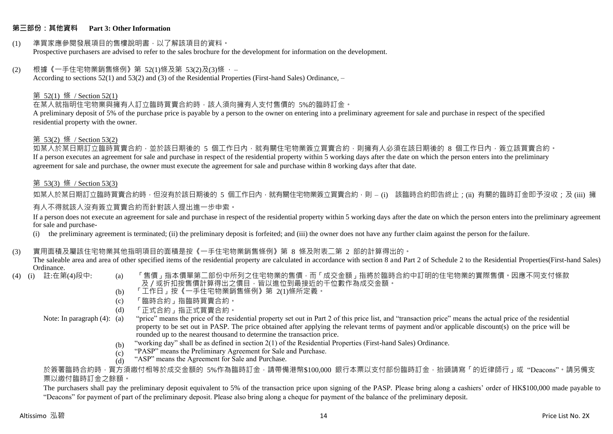#### **第三部份:其他資料 Part 3: Other Information**

#### (1) 準買家應參閱發展項目的售樓說明書,以了解該項目的資料。 Prospective purchasers are advised to refer to the sales brochure for the development for information on the development.

#### $(2)$  根據《一手住宅物業銷售條例》第 52(1)條及第 53(2)及(3)條,

According to sections 52(1) and 53(2) and (3) of the Residential Properties (First-hand Sales) Ordinance, –

## 第 52(1) 條 / Section 52(1)

在某人就指明住宅物業與擁有人訂立臨時買賣合約時,該人須向擁有人支付售價的 5%的臨時訂金。

A preliminary deposit of 5% of the purchase price is payable by a person to the owner on entering into a preliminary agreement for sale and purchase in respect of the specified residential property with the owner.

#### 第 53(2) 條 / Section 53(2)

如某人於某日期訂立臨時買賣合約,並於該日期後的 5 個工作日內,就有關住宅物業簽立買賣合約,則擁有人必須在該日期後的 8 個工作日內,簽立該買賣合約。 If a person executes an agreement for sale and purchase in respect of the residential property within 5 working days after the date on which the person enters into the preliminary agreement for sale and purchase, the owner must execute the agreement for sale and purchase within 8 working days after that date.

## 第 53(3) 條 / Section 53(3)

如某人於某日期訂立臨時買賣合約時,但沒有於該日期後的 5 個工作日內,就有關住宅物業簽立買賣合約,則 – (i) 該臨時合約即告終止;(ii) 有關的臨時訂金即予沒收;及 (iii) 擁 有人不得就該人沒有簽立買賣合約而針對該人提出進一步申索。

If a person does not execute an agreement for sale and purchase in respect of the residential property within 5 working days after the date on which the person enters into the preliminary agreement for sale and purchase-

(i) the preliminary agreement is terminated; (ii) the preliminary deposit is forfeited; and (iii) the owner does not have any further claim against the person for the failure.

#### (3) 實用面積及屬該住宅物業其他指明項目的面積是按《一手住宅物業銷售條例》第 8 條及附表二第 2 部的計算得出的。

The saleable area and area of other specified items of the residential property are calculated in accordance with section 8 and Part 2 of Schedule 2 to the Residential Properties(First-hand Sales) Ordinance.<br>(4) (i) 註:在第(4)段中:

- 
- (a) 「售價」指本價單第二部份中所列之住宅物業的售價,而「成交金額」指將於臨時合約中訂明的住宅物業的實際售價。因應不同支付條款 及/或折扣按售價計算得出之價目,皆以進位到最接近的千位數作為成交金額。
- (b) 「工作日」按《一手住宅物業銷售條例》第 2(1)條所定義。
- (c) 「臨時合約」指臨時買賣合約。
- (d) 「正式合約」指正式買賣合約。
- Note: In paragraph (4): (a)
- "price" means the price of the residential property set out in Part 2 of this price list, and "transaction price" means the actual price of the residential property to be set out in PASP. The price obtained after applying the relevant terms of payment and/or applicable discount(s) on the price will be rounded up to the nearest thousand to determine the transaction price.
	- (b) "working day" shall be as defined in section 2(1) of the Residential Properties (First-hand Sales) Ordinance.
	- (c) "PASP" means the Preliminary Agreement for Sale and Purchase.
	- (d) "ASP" means the Agreement for Sale and Purchase.

於簽署臨時合約時,買方須繳付相等於成交金額的 5%作為臨時訂金,請帶備港幣\$100,000 銀行本票以支付部份臨時訂金,抬頭請寫「的近律師行」或"Deacons"。請另備支 票以繳付臨時訂金之餘額。

The purchasers shall pay the preliminary deposit equivalent to 5% of the transaction price upon signing of the PASP. Please bring along a cashiers' order of HK\$100,000 made payable to "Deacons" for payment of part of the preliminary deposit. Please also bring along a cheque for payment of the balance of the preliminary deposit.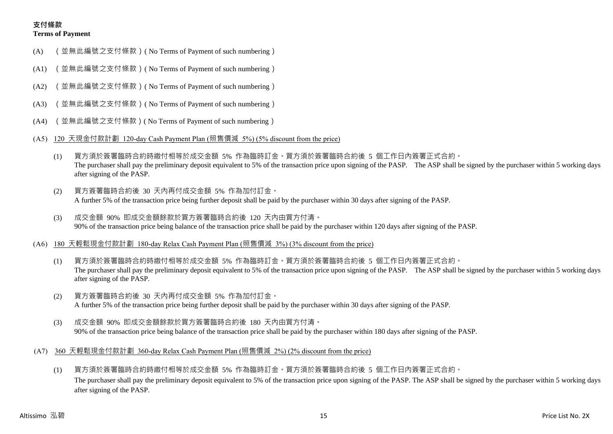## **支付條款 Terms of Payment**

- (A) (並無此編號之支付條款)( No Terms of Payment of such numbering)
- (A1) (並無此編號之支付條款)( No Terms of Payment of such numbering)
- (A2) (並無此編號之支付條款)( No Terms of Payment of such numbering)
- (A3) (並無此編號之支付條款)( No Terms of Payment of such numbering)
- (A4) (並無此編號之支付條款)( No Terms of Payment of such numbering)
- (A5) 120 天現金付款計劃 120-day Cash Payment Plan (照售價減 5%) (5% discount from the price)
	- (1) 買方須於簽署臨時合約時繳付相等於成交金額 5% 作為臨時訂金。買方須於簽署臨時合約後 5 個工作日內簽署正式合約。 The purchaser shall pay the preliminary deposit equivalent to 5% of the transaction price upon signing of the PASP. The ASP shall be signed by the purchaser within 5 working days after signing of the PASP.
	- (2) 買方簽署臨時合約後 30 天內再付成交金額 5% 作為加付訂金。 A further 5% of the transaction price being further deposit shall be paid by the purchaser within 30 days after signing of the PASP.
	- (3) 成交金額 90% 即成交金額餘款於買方簽署臨時合約後 120 天內由買方付清。 90% of the transaction price being balance of the transaction price shall be paid by the purchaser within 120 days after signing of the PASP.
- (A6) 180 天輕鬆現金付款計劃 180-day Relax Cash Payment Plan (照售價減 3%) (3% discount from the price)
	- (1) 買方須於簽署臨時合約時繳付相等於成交金額 5% 作為臨時訂金。買方須於簽署臨時合約後 5 個工作日內簽署正式合約。 The purchaser shall pay the preliminary deposit equivalent to 5% of the transaction price upon signing of the PASP. The ASP shall be signed by the purchaser within 5 working days after signing of the PASP.
	- (2) 買方簽署臨時合約後 30 天內再付成交金額 5% 作為加付訂金。 A further 5% of the transaction price being further deposit shall be paid by the purchaser within 30 days after signing of the PASP.
	- (3) 成交金額 90% 即成交金額餘款於買方簽署臨時合約後 180 天內由買方付清。 90% of the transaction price being balance of the transaction price shall be paid by the purchaser within 180 days after signing of the PASP.
- (A7) 360 天輕鬆現金付款計劃 360-day Relax Cash Payment Plan (照售價減 2%) (2% discount from the price)
	- (1) 買方須於簽署臨時合約時繳付相等於成交金額 5% 作為臨時訂金。買方須於簽署臨時合約後 5 個工作日內簽署正式合約。 The purchaser shall pay the preliminary deposit equivalent to 5% of the transaction price upon signing of the PASP. The ASP shall be signed by the purchaser within 5 working days after signing of the PASP.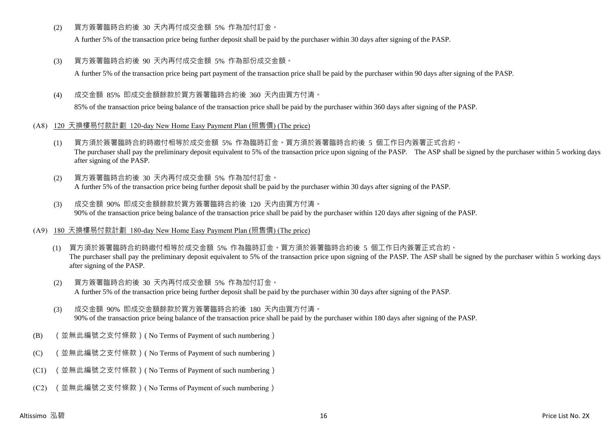(2) 買方簽署臨時合約後 30 天內再付成交金額 5% 作為加付訂金。

A further 5% of the transaction price being further deposit shall be paid by the purchaser within 30 days after signing of the PASP.

(3) 買方簽署臨時合約後 90 天內再付成交金額 5% 作為部份成交金額。

A further 5% of the transaction price being part payment of the transaction price shall be paid by the purchaser within 90 days after signing of the PASP.

(4) 成交金額 85% 即成交金額餘款於買方簽署臨時合約後 360 天內由買方付清。

85% of the transaction price being balance of the transaction price shall be paid by the purchaser within 360 days after signing of the PASP.

- (A8) 120 天換樓易付款計劃 120-day New Home Easy Payment Plan (照售價) (The price)
	- (1) 買方須於簽署臨時合約時繳付相等於成交金額 5% 作為臨時訂金。買方須於簽署臨時合約後 5 個工作日內簽署正式合約。 The purchaser shall pay the preliminary deposit equivalent to 5% of the transaction price upon signing of the PASP. The ASP shall be signed by the purchaser within 5 working days after signing of the PASP.
	- (2) 買方簽署臨時合約後 30 天內再付成交金額 5% 作為加付訂金。 A further 5% of the transaction price being further deposit shall be paid by the purchaser within 30 days after signing of the PASP.
	- (3) 成交金額 90% 即成交金額餘款於買方簽署臨時合約後 120 天內由買方付清。 90% of the transaction price being balance of the transaction price shall be paid by the purchaser within 120 days after signing of the PASP.
- (A9) 180 天換樓易付款計劃 180-day New Home Easy Payment Plan (照售價) (The price)
	- (1) 買方須於簽署臨時合約時繳付相等於成交金額 5% 作為臨時訂金。買方須於簽署臨時合約後 5 個工作日內簽署正式合約。 The purchaser shall pay the preliminary deposit equivalent to 5% of the transaction price upon signing of the PASP. The ASP shall be signed by the purchaser within 5 working days after signing of the PASP.
	- (2) 買方簽署臨時合約後 30 天內再付成交金額 5% 作為加付訂金。 A further 5% of the transaction price being further deposit shall be paid by the purchaser within 30 days after signing of the PASP.
	- (3) 成交金額 90% 即成交金額餘款於買方簽署臨時合約後 180 天內由買方付清。 90% of the transaction price being balance of the transaction price shall be paid by the purchaser within 180 days after signing of the PASP.
- (B) (並無此編號之支付條款)( No Terms of Payment of such numbering)
- (C) (並無此編號之支付條款)( No Terms of Payment of such numbering)
- (C1) (並無此編號之支付條款)( No Terms of Payment of such numbering)
- (C2) (並無此編號之支付條款)( No Terms of Payment of such numbering)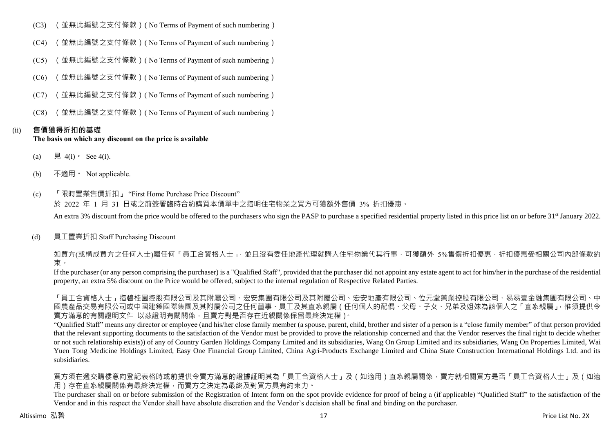- (C3) (並無此編號之支付條款)( No Terms of Payment of such numbering)
- (C4) (並無此編號之支付條款)( No Terms of Payment of such numbering)
- (C5) (並無此編號之支付條款)( No Terms of Payment of such numbering)
- (C6) (並無此編號之支付條款)( No Terms of Payment of such numbering)
- (C7) (並無此編號之支付條款)( No Terms of Payment of such numbering)
- (C8) (並無此編號之支付條款)( No Terms of Payment of such numbering)

## (ii) **售價獲得折扣的基礎**

#### **The basis on which any discount on the price is available**

- (a) 見 4(i) See 4(i).
- (b) 不適用。 Not applicable.
- (c) 「限時置業售價折扣」 "First Home Purchase Price Discount" 於 2022 年 1 月 31 日或之前簽署臨時合約購買本價單中之指明住宅物業之買方可獲額外售價 3% 折扣優惠。 An extra 3% discount from the price would be offered to the purchasers who sign the PASP to purchase a specified residential property listed in this price list on or before 31<sup>st</sup> January 2022.
- (d) 員工置業折扣 Staff Purchasing Discount

如買方(或構成買方之任何人士)屬任何「員工合資格人士」,並且沒有委任地產代理就購入住宅物業代其行事,可獲額外 5%售價折扣優惠,折扣優惠受相關公司內部條款約 束。

If the purchaser (or any person comprising the purchaser) is a "Qualified Staff", provided that the purchaser did not appoint any estate agent to act for him/her in the purchase of the residential property, an extra 5% discount on the Price would be offered, subject to the internal regulation of Respective Related Parties.

「員工合資格人士」指碧桂園控股有限公司及其附屬公司、宏安集團有限公司及其附屬公司、宏安地產有限公司、位元堂藥業控股有限公司、易易壹金融集團有限公司、中 國農產品交易有限公司或中國建築國際集團及其附屬公司之任何董事、員工及其直系親屬(任何個人的配偶、父母、子女、兄弟及姐妹為該個人之「直系親屬」,惟須提供令 賣方滿意的有關證明文件 以茲證明有關關係,且賣方對是否存在近親關係保留最終決定權)。

"Qualified Staff" means any director or employee (and his/her close family member (a spouse, parent, child, brother and sister of a person is a "close family member" of that person provided that the relevant supporting documents to the satisfaction of the Vendor must be provided to prove the relationship concerned and that the Vendor reserves the final right to decide whether or not such relationship exists)) of any of Country Garden Holdings Company Limited and its subsidiaries, Wang On Group Limited and its subsidiaries, Wang On Properties Limited, Wai Yuen Tong Medicine Holdings Limited, Easy One Financial Group Limited, China Agri-Products Exchange Limited and China State Construction International Holdings Ltd. and its subsidiaries.

買方須在遞交購樓意向登記表格時或前提供令賣方滿意的證據証明其為「員工合資格人士」及(如適用)直系親屬關係,賣方就相關買方是否「員工合資格人士」及(如適 用)存在直系親屬關係有最終決定權,而賣方之決定為最終及對買方具有約束力。

The purchaser shall on or before submission of the Registration of Intent form on the spot provide evidence for proof of being a (if applicable) "Qualified Staff" to the satisfaction of the Vendor and in this respect the Vendor shall have absolute discretion and the Vendor's decision shall be final and binding on the purchaser.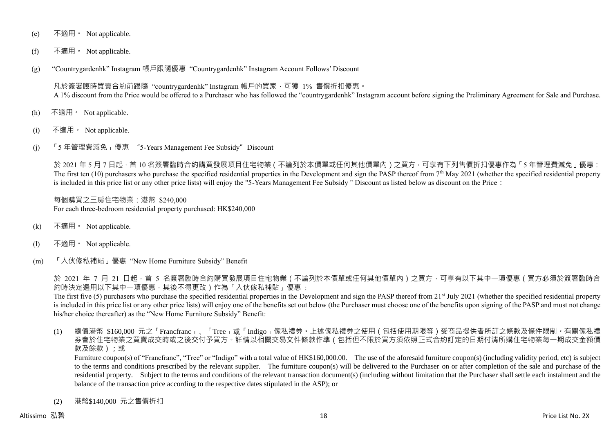- (e) 不適用。 Not applicable.
- (f) 不適用。 Not applicable.
- (g) "Countrygardenhk" Instagram 帳戶跟隨優惠 "Countrygardenhk" Instagram Account Follows' Discount

凡於簽署臨時買賣合約前跟隨 "countrygardenhk" Instagram 帳戶的買家,可獲 1% 售價折扣優惠。 A 1% discount from the Price would be offered to a Purchaser who has followed the "countrygardenhk" Instagram account before signing the Preliminary Agreement for Sale and Purchase.

- (h) 不適用。 Not applicable.
- (i) 不適用。 Not applicable.
- (j) 「5 年管理費減免」優惠 "5-Years Management Fee Subsidy"Discount

於 2021 年 5 月 7 日起 · 首 10 名簽署臨時合約購買發展項目住宅物業 ( 不論列於本價單或任何其他價單內 ) 之買方 · 可享有下列售價折扣優惠作為「5 年管理費減免」優惠: The first ten  $(10)$  purchasers who purchase the specified residential properties in the Development and sign the PASP thereof from  $7<sup>th</sup>$  May 2021 (whether the specified residential property is included in this price list or any other price lists) will enjoy the "5-Years Management Fee Subsidy " Discount as listed below as discount on the Price:

每個購買之三房住宅物業:港幣 \$240,000 For each three-bedroom residential property purchased: HK\$240,000

- (k) 不適用。 Not applicable.
- (l) 不適用。 Not applicable.
- (m) 「入伙傢私補貼」優惠 "New Home Furniture Subsidy" Benefit

於 2021 年 7 月 21 日起,首 5 名簽署臨時合約購買發展項目住宅物業 ( 不論列於本價單或任何其他價單內 ) 之買方,可享有以下其中一項優惠 ( 買方必須於簽署臨時合 約時決定選用以下其中一項優惠,其後不得更改)作為「入伙傢私補貼」優惠 :

The first five (5) purchasers who purchase the specified residential properties in the Development and sign the PASP thereof from  $21<sup>st</sup>$  July 2021 (whether the specified residential property is included in this price list or any other price lists) will enjoy one of the benefits set out below (the Purchaser must choose one of the benefits upon signing of the PASP and must not change his/her choice thereafter) as the "New Home Furniture Subsidy" Benefit:

(1) 總值港幣 \$160,000 元之「Francfranc」、「Tree」或「Indigo」傢私禮券。上述傢私禮券之使用(包括使用期限等)受商品提供者所訂之條款及條件限制。有關傢私禮 券會於住宅物業之買賣成交時或之後交付予買方。詳情以相關交易文件條款作準(包括但不限於買方須依照正式合約訂定的日期付清所購住宅物業每一期成交金額價 款及餘款);或

Furniture coupon(s) of "Francfranc", "Tree" or "Indigo" with a total value of HK\$160,000.00. The use of the aforesaid furniture coupon(s) (including validity period, etc) is subject to the terms and conditions prescribed by the relevant supplier. The furniture coupon(s) will be delivered to the Purchaser on or after completion of the sale and purchase of the residential property. Subject to the terms and conditions of the relevant transaction document(s) (including without limitation that the Purchaser shall settle each instalment and the balance of the transaction price according to the respective dates stipulated in the ASP); or

(2) 港幣\$140,000 元之售價折扣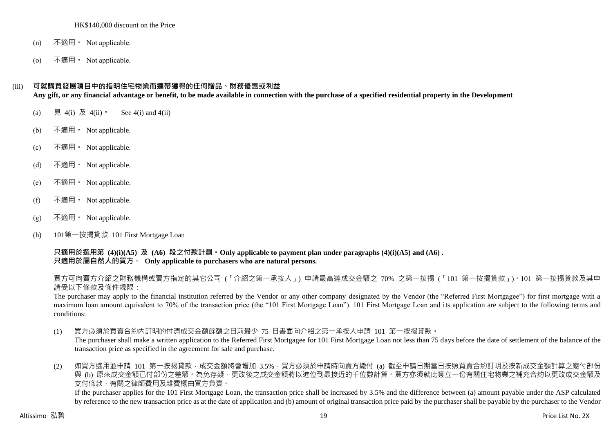#### HK\$140,000 discount on the Price

- (n) 不適用。 Not applicable.
- (o) 不適用。 Not applicable.

#### (iii) **可就購買發展項目中的指明住宅物業而連帶獲得的任何贈品、財務優惠或利益**

**Any gift, or any financial advantage or benefit, to be made available in connection with the purchase of a specified residential property in the Development**

- (a) 見 4(i) 及 4(ii)。 See 4(i) and 4(ii)
- (b) 不適用。 Not applicable.
- (c) 不適用。 Not applicable.
- (d) 不適用。 Not applicable.
- (e) 不適用。 Not applicable.
- (f) 不適用 Not applicable.
- $(g)$  不適用 · Not applicable.
- (h) 101第一按揭貸款 101 First Mortgage Loan

**只適用於選用第 (4)(i)(A5) 及 (A6) 段之付款計劃。Only applicable to payment plan under paragraphs (4)(i)(A5) and (A6) . 只適用於屬自然人的買方。 Only applicable to purchasers who are natural persons.**

買方可向賣方介紹之財務機構或賣方指定的其它公司 (「介紹之第一承按人」) 申請最高達成交金額之 70% 之第一按揭 (「101 第一按揭貸款」)。101 第一按揭貸款及其申 請受以下條款及條件規限:

The purchaser may apply to the financial institution referred by the Vendor or any other company designated by the Vendor (the "Referred First Mortgagee") for first mortgage with a maximum loan amount equivalent to 70% of the transaction price (the "101 First Mortgage Loan"). 101 First Mortgage Loan and its application are subject to the following terms and conditions:

(1) 買方必須於買賣合約內訂明的付清成交金額餘額之日前最少 75 日書面向介紹之第一承按人申請 101 第一按揭貸款。

The purchaser shall make a written application to the Referred First Mortgagee for 101 First Mortgage Loan not less than 75 days before the date of settlement of the balance of the transaction price as specified in the agreement for sale and purchase.

(2) 如買方選用並申請 101 第一按揭貸款,成交金額將會增加 3.5%,買方必須於申請時向賣方繳付 (a) 截至申請日期當日按照買賣合約訂明及按新成交金額計算之應付部份 與 (b) 原來成交金額已付部份之差額。為免存疑,更改後之成交金額將以進位到最接近的千位數計算。買方亦須就此簽立一份有關住宅物業之補充合約以更改成交金額及 支付條款,有關之律師費用及雜費概由買方負責。

If the purchaser applies for the 101 First Mortgage Loan, the transaction price shall be increased by 3.5% and the difference between (a) amount payable under the ASP calculated by reference to the new transaction price as at the date of application and (b) amount of original transaction price paid by the purchaser shall be payable by the purchaser to the Vendor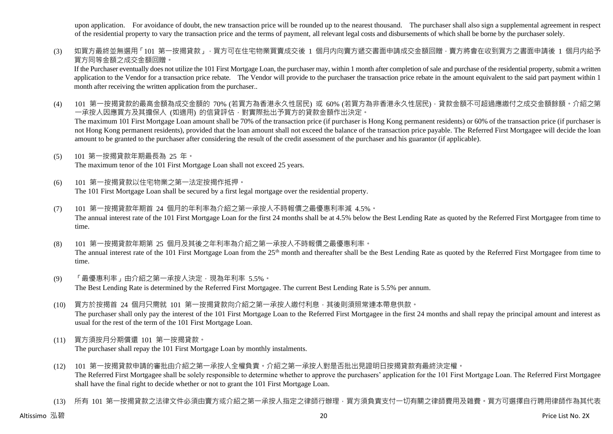upon application. For avoidance of doubt, the new transaction price will be rounded up to the nearest thousand. The purchaser shall also sign a supplemental agreement in respect of the residential property to vary the transaction price and the terms of payment, all relevant legal costs and disbursements of which shall be borne by the purchaser solely.

(3) 如買方最終並無選用「101 第一按揭貸款」,買方可在住宅物業買賣成交後 1 個月内向賣方遞交書面申請成交金額回贈,賣方將會在收到買方之書面申請後 1 個月内給予 買方同等金額之成交金額回贈。

If the Purchaser eventually does not utilize the 101 First Mortgage Loan, the purchaser may, within 1 month after completion of sale and purchase of the residential property, submit a written application to the Vendor for a transaction price rebate. The Vendor will provide to the purchaser the transaction price rebate in the amount equivalent to the said part payment within 1 month after receiving the written application from the purchaser..

(4) 101 第一按揭貸款的最高金額為成交金額的 70% (若買方為香港永久性居民) 或 60% (若買方為非香港永久性居民) · 貸款金額不可超過應繳付之成交金額餘額。介紹之第 一承按人因應買方及其擔保人 (如適用) 的信貸評估,對實際批出予買方的貸款金額作出決定。

The maximum 101 First Mortgage Loan amount shall be 70% of the transaction price (if purchaser is Hong Kong permanent residents) or 60% of the transaction price (if purchaser is not Hong Kong permanent residents), provided that the loan amount shall not exceed the balance of the transaction price payable. The Referred First Mortgagee will decide the loan amount to be granted to the purchaser after considering the result of the credit assessment of the purchaser and his guarantor (if applicable).

- (5) 101 第一按揭貸款年期最長為 25 年。 The maximum tenor of the 101 First Mortgage Loan shall not exceed 25 years.
- (6) 101 第一按揭貸款以住宅物業之第一法定按揭作抵押。 The 101 First Mortgage Loan shall be secured by a first legal mortgage over the residential property.
- (7) 101 第一按揭貸款年期首 24 個月的年利率為介紹之第一承按人不時報價之最優惠利率減 4.5%。 The annual interest rate of the 101 First Mortgage Loan for the first 24 months shall be at 4.5% below the Best Lending Rate as quoted by the Referred First Mortgagee from time to time.
- (8) 101 第一按揭貸款年期第 25 個月及其後之年利率為介紹之第一承按人不時報價之最優惠利率。 The annual interest rate of the 101 First Mortgage Loan from the 25<sup>th</sup> month and thereafter shall be the Best Lending Rate as quoted by the Referred First Mortgagee from time to time.
- (9) 「最優惠利率」由介紹之第一承按人決定,現為年利率 5.5%。 The Best Lending Rate is determined by the Referred First Mortgagee. The current Best Lending Rate is 5.5% per annum.
- (10) 買方於按揭首 24 個月只需就 101 第一按揭貸款向介紹之第一承按人繳付利息,其後則須照常連本帶息供款。 The purchaser shall only pay the interest of the 101 First Mortgage Loan to the Referred First Mortgagee in the first 24 months and shall repay the principal amount and interest as usual for the rest of the term of the 101 First Mortgage Loan.
- (11) 買方須按月分期償還 101 第一按揭貸款。 The purchaser shall repay the 101 First Mortgage Loan by monthly instalments.
- (12) 101 第一按揭貸款申請的審批由介紹之第一承按人全權負責。介紹之第一承按人對是否批出見證明日按揭貸款有最終決定權。 The Referred First Mortgagee shall be solely responsible to determine whether to approve the purchasers' application for the 101 First Mortgage Loan. The Referred First Mortgagee shall have the final right to decide whether or not to grant the 101 First Mortgage Loan.
- (13) 所有 101 第一按揭貸款之法律文件必須由賣方或介紹之第一承按人指定之律師行辦理,買方須負責支付一切有關之律師費用及雜費。買方可選擇自行聘用律師作為其代表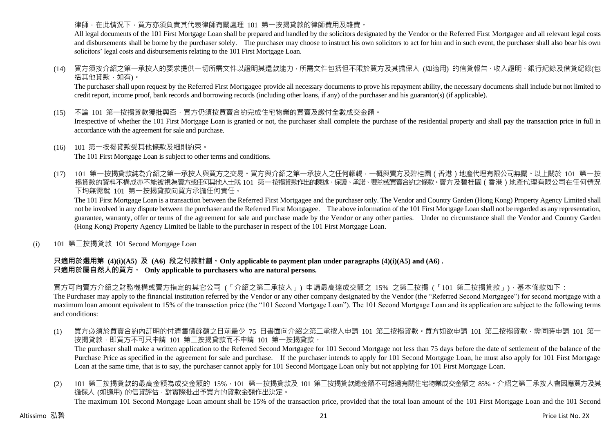## 律師,在此情況下,買方亦須負責其代表律師有關處理 101 第一按揭貸款的律師費用及雜費。

All legal documents of the 101 First Mortgage Loan shall be prepared and handled by the solicitors designated by the Vendor or the Referred First Mortgagee and all relevant legal costs and disbursements shall be borne by the purchaser solely. The purchaser may choose to instruct his own solicitors to act for him and in such event, the purchaser shall also bear his own solicitors' legal costs and disbursements relating to the 101 First Mortgage Loan.

(14) 買方須按介紹之第一承按人的要求提供一切所需文件以證明其還款能力,所需文件包括但不限於買方及其擔保人 (如適用) 的信貸報告、收入證明、銀行紀錄及借貸紀錄(包 括其他貸款,如有)。

The purchaser shall upon request by the Referred First Mortgagee provide all necessary documents to prove his repayment ability, the necessary documents shall include but not limited to credit report, income proof, bank records and borrowing records (including other loans, if any) of the purchaser and his guarantor(s) (if applicable).

(15) 不論 101 第一按揭貸款獲批與否,買方仍須按買賣合約完成住宅物業的買賣及繳付全數成交金額。

Irrespective of whether the 101 First Mortgage Loan is granted or not, the purchaser shall complete the purchase of the residential property and shall pay the transaction price in full in accordance with the agreement for sale and purchase.

- (16) 101 第一按揭貸款受其他條款及細則約束。 The 101 First Mortgage Loan is subject to other terms and conditions.
- (17) 101 第一按揭貸款純為介紹之第一承按人與買方之交易。買方與介紹之第一承按人之任何轇輵,一概與賣方及碧桂園(香港)地產代理有限公司無關。以上關於 101 第一按 揭貸款的資料不構成亦不能被視為賣方或任何其他人士就 101 第一按揭貸款作出的陳述、保證、承諾、要約或買賣合約之條款。賣方及碧桂園(香港)地產代理有限公司在任何情況 下均無需就 101 第一按揭貸款向買方承擔任何責任。

The 101 First Mortgage Loan is a transaction between the Referred First Mortgagee and the purchaser only. The Vendor and Country Garden (Hong Kong) Property Agency Limited shall not be involved in any dispute between the purchaser and the Referred First Mortgagee. The above information of the 101 First Mortgage Loan shall not be regarded as any representation, guarantee, warranty, offer or terms of the agreement for sale and purchase made by the Vendor or any other parties. Under no circumstance shall the Vendor and Country Garden (Hong Kong) Property Agency Limited be liable to the purchaser in respect of the 101 First Mortgage Loan.

(i) 101 第二按揭貸款 101 Second Mortgage Loan

## **只適用於選用第 (4)(i)(A5) 及 (A6) 段之付款計劃。Only applicable to payment plan under paragraphs (4)(i)(A5) and (A6) . 只適用於屬自然人的買方。 Only applicable to purchasers who are natural persons.**

買方可向賣方介紹之財務機構或賣方指定的其它公司 (「介紹之第二承按人」) 申請最高達成交額之 15% 之第二按揭 (「101 第二按揭貸款」),基本條款如下:

The Purchaser may apply to the financial institution referred by the Vendor or any other company designated by the Vendor (the "Referred Second Mortgagee") for second mortgage with a maximum loan amount equivalent to 15% of the transaction price (the "101 Second Mortgage Loan"). The 101 Second Mortgage Loan and its application are subject to the following terms and conditions:

(1) 買方必須於買賣合約內訂明的付清售價餘額之日前最少 75 日書面向介紹之第二承按人申請 101 第二按揭貸款。買方如欲申請 101 第二按揭貸款,需同時申請 101 第一 按揭貸款,即買方不可只申請 101 第二按揭貸款而不申請 101 第一按揭貸款。

The purchaser shall make a written application to the Referred Second Mortgagee for 101 Second Mortgage not less than 75 days before the date of settlement of the balance of the Purchase Price as specified in the agreement for sale and purchase. If the purchaser intends to apply for 101 Second Mortgage Loan, he must also apply for 101 First Mortgage Loan at the same time, that is to say, the purchaser cannot apply for 101 Second Mortgage Loan only but not applying for 101 First Mortgage Loan.

(2) 101 第二按揭貸款的最高金額為成交金額的 15%,101 第一按揭貸款及 101 第二按揭貸款總金額不可超過有關住宅物業成交金額之 85%。介紹之第二承按人會因應買方及其 擔保人 (如適用) 的信貸評估,對實際批出予買方的貸款金額作出決定。 The maximum 101 Second Mortgage Loan amount shall be 15% of the transaction price, provided that the total loan amount of the 101 First Mortgage Loan and the 101 Second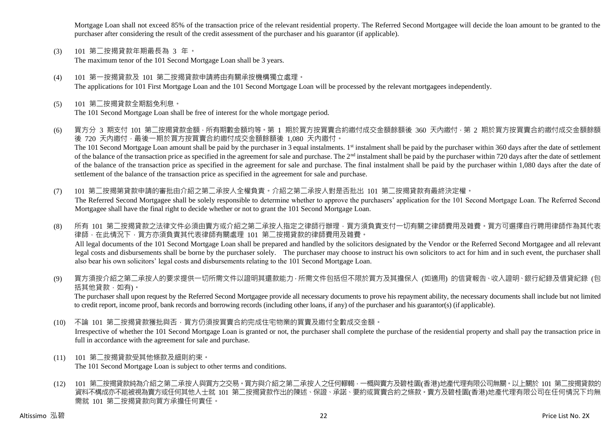Mortgage Loan shall not exceed 85% of the transaction price of the relevant residential property. The Referred Second Mortgagee will decide the loan amount to be granted to the purchaser after considering the result of the credit assessment of the purchaser and his guarantor (if applicable).

- (3) 101 第二按揭貸款年期最長為 3 年。 The maximum tenor of the 101 Second Mortgage Loan shall be 3 years.
- (4) 101 第一按揭貸款及 101 第二按揭貸款申請將由有關承按機構獨立處理。 The applications for 101 First Mortgage Loan and the 101 Second Mortgage Loan will be processed by the relevant mortgagees independently.
- (5) 101 第二按揭貸款全期豁免利息。 The 101 Second Mortgage Loan shall be free of interest for the whole mortgage period.
- (6) 買方分 3 期支付 101 第二按揭貸款金額,所有期數金額均等。第 1 期於買方按買賣合約繳付成交金額餘額後 360 天內繳付,第 2 期於買方按買賣合約繳付成交金額餘額 後 720 天內繳付,最後一期於買方按買賣合約繳付成交金額餘額後 1,080 天內繳付。 The 101 Second Mortgage Loan amount shall be paid by the purchaser in 3 equal instalments. 1<sup>st</sup> instalment shall be paid by the purchaser within 360 days after the date of settlement of the balance of the transaction price as specified in the agreement for sale and purchase. The 2<sup>nd</sup> instalment shall be paid by the purchaser within 720 days after the date of settlement of the balance of the transaction price as specified in the agreement for sale and purchase. The final instalment shall be paid by the purchaser within 1,080 days after the date of settlement of the balance of the transaction price as specified in the agreement for sale and purchase.
- (7) 101 第二按揭第貸款申請的審批由介紹之第二承按人全權負責。介紹之第二承按人對是否批出 101 第二按揭貸款有最終決定權。 The Referred Second Mortgagee shall be solely responsible to determine whether to approve the purchasers' application for the 101 Second Mortgage Loan. The Referred Second Mortgagee shall have the final right to decide whether or not to grant the 101 Second Mortgage Loan.
- (8) 所有 101 第二按揭貸款之法律文件必須由賣方或介紹之第二承按人指定之律師行辦理,買方須負責支付一切有關之律師費用及雜費。買方可選擇自行聘用律師作為其代表 律師,在此情況下,買方亦須負責其代表律師有關處理 101 第二按揭貸款的律師費用及雜費。 All legal documents of the 101 Second Mortgage Loan shall be prepared and handled by the solicitors designated by the Vendor or the Referred Second Mortgagee and all relevant legal costs and disbursements shall be borne by the purchaser solely. The purchaser may choose to instruct his own solicitors to act for him and in such event, the purchaser shall also bear his own solicitors' legal costs and disbursements relating to the 101 Second Mortgage Loan.
- (9) 買方須按介紹之第二承按人的要求提供一切所需文件以證明其還款能力,所需文件包括但不限於買方及其擔保人 (如適用) 的信貸報告、收入證明、銀行紀錄及借貸紀錄 (包 括其他貸款,如有)。

The purchaser shall upon request by the Referred Second Mortgagee provide all necessary documents to prove his repayment ability, the necessary documents shall include but not limited to credit report, income proof, bank records and borrowing records (including other loans, if any) of the purchaser and his guarantor(s) (if applicable).

- (10) 不論 101 第二按揭貸款獲批與否,買方仍須按買賣合約完成住宅物業的買賣及繳付全數成交金額。 Irrespective of whether the 101 Second Mortgage Loan is granted or not, the purchaser shall complete the purchase of the residential property and shall pay the transaction price in full in accordance with the agreement for sale and purchase.
- (11) 101 第二按揭貸款受其他條款及細則約束。

The 101 Second Mortgage Loan is subject to other terms and conditions.

(12) 101 第二按揭貸款純為介紹之第二承按人與買方之交易。買方與介紹之第二承按人之任何轇輵,一概與賣方及碧桂園(香港)地產代理有限公司無關。以上關於 101 第二按揭貸款的 資料不構成亦不能被視為賣方或任何其他人士就 101 第二按揭貸款作出的陳述、保證、承諾、要約或買賣合約之條款。賣方及碧桂園(香港)地產代理有限公司在任何情況下均無 需就 101 第二按揭貸款向買方承擔任何責任。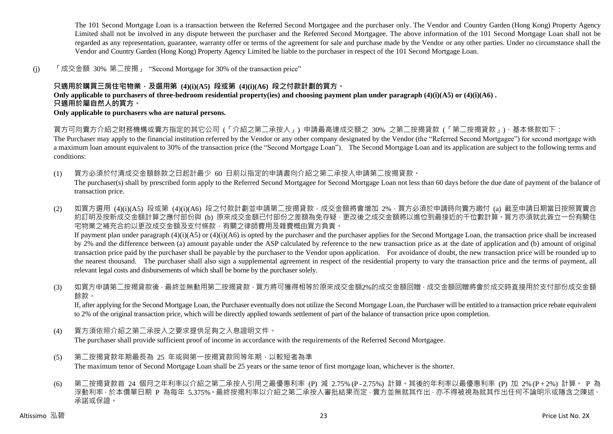The 101 Second Mortgage Loan is a transaction between the Referred Second Mortgagee and the purchaser only. The Vendor and Country Garden (Hong Kong) Property Agency Limited shall not be involved in any dispute between the purchaser and the Referred Second Mortgagee. The above information of the 101 Second Mortgage Loan shall not be regarded as any representation, guarantee, warranty offer or terms of the agreement for sale and purchase made by the Vendor or any other parties. Under no circumstance shall the Vendor and Country Garden (Hong Kong) Property Agency Limited be liable to the purchaser in respect of the 101 Second Mortgage Loan.

(j) 「成交金額 30% 第二按揭」 "Second Mortgage for 30% of the transaction price"

## **只適用於購買三房住宅物業,及選用第 (4)(i)(A5) 段或第 (4)(i)(A6) 段之付款計劃的買方。**

**Only applicable to purchasers of three-bedroom residential property(ies) and choosing payment plan under paragraph (4)(i)(A5) or (4)(i)(A6) .**

## **只適用於屬自然人的買方。**

**Only applicable to purchasers who are natural persons.**

買方可向賣方介紹之財務機構或賣方指定的其它公司 (「介紹之第二承按人」) 申請最高達成交額之 30% 之第二按揭貸款 (「第二按揭貸款」),基本條款如下:

The Purchaser may apply to the financial institution referred by the Vendor or any other company designated by the Vendor (the "Referred Second Mortgagee") for second mortgage with a maximum loan amount equivalent to 30% of the transaction price (the "Second Mortgage Loan"). The Second Mortgage Loan and its application are subject to the following terms and conditions:

- (1) 買方必須於付清成交金額餘款之日起計最少 60 日前以指定的申請書向介紹之第二承按人申請第二按揭貸款。 The purchaser(s) shall by prescribed form apply to the Referred Second Mortgagee for Second Mortgage Loan not less than 60 days before the due date of payment of the balance of transaction price.
- (2) 如買方選用 (4)(i)(A5) 段或第 (4)(i)(A6) 段之付款計劃並申請第二按揭貸款,成交金額將會增加 2%,買方必須於申請時向賣方繳付 (a) 截至申請日期當日按照買賣合 約訂明及按新成交金額計算之應付部份與 (b) 原來成交金額已付部份之差額為免存疑,更改後之成交金額將以進位到最接近的千位數計算。買方亦須就此簽立一份有關住 宅物業之補充合約以更改成交金額及支付條款,有關之律師費用及雜費概由買方負責。 If payment plan under paragraph  $(4)(i)(A5)$  or  $(4)(i)(A6)$  is opted by the purchaser and the purchaser applies for the Second Mortgage Loan, the transaction price shall be increased by 2% and the difference between (a) amount payable under the ASP calculated by reference to the new transaction price as at the date of application and (b) amount of original transaction price paid by the purchaser shall be payable by the purchaser to the Vendor upon application. For avoidance of doubt, the new transaction price will be rounded up to the nearest thousand. The purchaser shall also sign a supplemental agreement in respect of the residential property to vary the transaction price and the terms of payment, all relevant legal costs and disbursements of which shall be borne by the purchaser solely.
- (3) 如買方申請第二按揭貸款後,最終並無動用第二按揭貸款,買方將可獲得相等於原來成交金額2%的成交金額回贈,成交金額回贈將會於成交時直接用於支付部份成交金額 餘款。

If, after applying for the Second Mortgage Loan, the Purchaser eventually does not utilize the Second Mortgage Loan, the Purchaser will be entitled to a transaction price rebate equivalent to 2% of the original transaction price, which will be directly applied towards settlement of part of the balance of transaction price upon completion.

(4) 買方須依照介紹之第二承按人之要求提供足夠之入息證明文件。

The purchaser shall provide sufficient proof of income in accordance with the requirements of the Referred Second Mortgagee.

- (5) 第二按揭貸款年期最長為 25 年或與第一按揭貸款同等年期,以較短者為準 The maximum tenor of Second Mortgage Loan shall be 25 years or the same tenor of first mortgage loan, whichever is the shorter.
- (6) 第二按揭貸款首 24 個月之年利率以介紹之第二承按人引用之最優惠利率 (P) 減 2.75% (P 2.75%) 計算。其後的年利率以最優惠利率 (P) 加 2% (P + 2%) 計算。 P 為 浮動利率,於本價單日期 P 為每年 5.375%。最終按揭利率以介紹之第二承按人審批結果而定,賣方並無就其作出,亦不得被視為就其作出任何不論明示或隱含之陳述、 承諾或保證。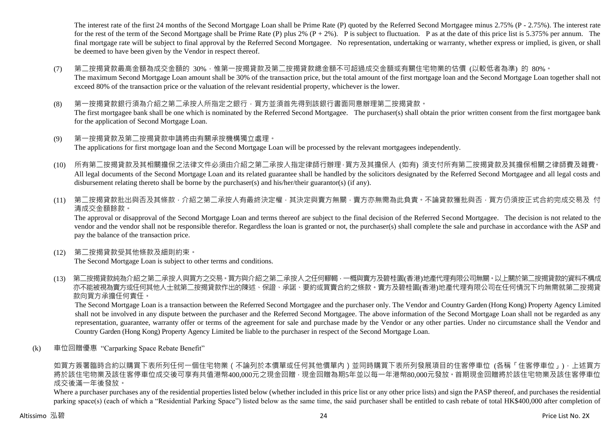The interest rate of the first 24 months of the Second Mortgage Loan shall be Prime Rate (P) quoted by the Referred Second Mortgagee minus 2.75% (P - 2.75%). The interest rate for the rest of the term of the Second Mortgage shall be Prime Rate (P) plus 2%  $(P + 2\%)$ . P is subject to fluctuation. P as at the date of this price list is 5.375% per annum. The final mortgage rate will be subject to final approval by the Referred Second Mortgagee. No representation, undertaking or warranty, whether express or implied, is given, or shall be deemed to have been given by the Vendor in respect thereof.

- (7) 第二按揭貸款最高金額為成交金額的 30%,惟第一按揭貸款及第二按揭貸款總金額不可超過成交金額或有關住宅物業的估價 (以較低者為準) 的 80%。 The maximum Second Mortgage Loan amount shall be 30% of the transaction price, but the total amount of the first mortgage loan and the Second Mortgage Loan together shall not exceed 80% of the transaction price or the valuation of the relevant residential property, whichever is the lower.
- (8) 第一按揭貸款銀行須為介紹之第二承按人所指定之銀行,買方並須首先得到該銀行書面同意辦理第二按揭貸款。 The first mortgagee bank shall be one which is nominated by the Referred Second Mortgagee. The purchaser(s) shall obtain the prior written consent from the first mortgagee bank for the application of Second Mortgage Loan.
- (9) 第一按揭貸款及第二按揭貸款申請將由有關承按機構獨立處理。

The applications for first mortgage loan and the Second Mortgage Loan will be processed by the relevant mortgagees independently.

- (10) 所有第二按揭貸款及其相關擔保之法律文件必須由介紹之第二承按人指定律師行辦理,買方及其擔保人 (如有) 須支付所有第二按揭貸款及其擔保相關之律師費及雜費。 All legal documents of the Second Mortgage Loan and its related guarantee shall be handled by the solicitors designated by the Referred Second Mortgagee and all legal costs and disbursement relating thereto shall be borne by the purchaser(s) and his/her/their guarantor(s) (if any).
- (11) 第二按揭貸款批出與否及其條款,介紹之第二承按人有最終決定權,其決定與賣方無關,賣方亦無需為此負責。不論貸款獲批與否,買方仍須按正式合約完成交易及 付 清成交金額餘款。

The approval or disapproval of the Second Mortgage Loan and terms thereof are subject to the final decision of the Referred Second Mortgagee. The decision is not related to the vendor and the vendor shall not be responsible therefor. Regardless the loan is granted or not, the purchaser(s) shall complete the sale and purchase in accordance with the ASP and pay the balance of the transaction price.

(12) 第二按揭貸款受其他條款及細則約束。

The Second Mortgage Loan is subject to other terms and conditions.

(13) 第二按揭貸款純為介紹之第二承按人與買方之交易。買方與介紹之第二承按人之任何轇輵,一概與賣方及碧桂園(香港)地產代理有限公司無關。以上關於第二按揭貸款的資料不構成 亦不能被視為賣方或任何其他人士就第二按揭貸款作出的陳述、保證、承諾、要約或買賣合約之條款。賣方及碧桂園(香港)地產代理有限公司在任何情況下均無需就第二按揭貸 款向買方承擔任何責任。

The Second Mortgage Loan is a transaction between the Referred Second Mortgagee and the purchaser only. The Vendor and Country Garden (Hong Kong) Property Agency Limited shall not be involved in any dispute between the purchaser and the Referred Second Mortgagee. The above information of the Second Mortgage Loan shall not be regarded as any representation, guarantee, warranty offer or terms of the agreement for sale and purchase made by the Vendor or any other parties. Under no circumstance shall the Vendor and Country Garden (Hong Kong) Property Agency Limited be liable to the purchaser in respect of the Second Mortgage Loan.

(k) 車位回贈優惠 "Carparking Space Rebate Benefit"

如買方簽署臨時合約以購買下表所列任何一個住宅物業 ( 不論列於本價單或任何其他價單內 ) 並同時購買下表所列發展項目的住客停車位 (各稱「住客停車位」), 上述買方 將於該住宅物業及該住客停車位成交後可享有共值港幣400,000元之現金回贈,現金回贈為期5年並以每一年港幣80,000元發放。首期現金回贈將於該住宅物業及該住客停車位 成交後滿一年後發放。

Where a purchaser purchases any of the residential properties listed below (whether included in this price list or any other price lists) and sign the PASP thereof, and purchases the residential parking space(s) (each of which a "Residential Parking Space") listed below as the same time, the said purchaser shall be entitled to cash rebate of total HK\$400,000 after completion of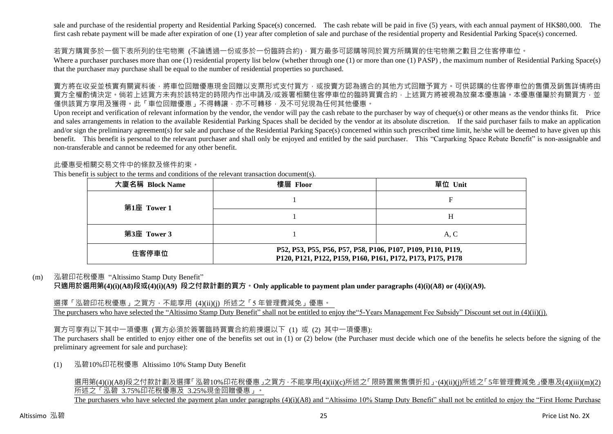sale and purchase of the residential property and Residential Parking Space(s) concerned. The cash rebate will be paid in five (5) years, with each annual payment of HK\$80,000. The first cash rebate payment will be made after expiration of one (1) year after completion of sale and purchase of the residential property and Residential Parking Space(s) concerned.

#### 若買方購買多於一個下表所列的住宅物業 (不論透過一份或多於一份臨時合約),買方最多可認購等同於買方所購買的住宅物業之數目之住客停車位。

Where a purchaser purchases more than one (1) residential property list below (whether through one (1) or more than one (1) PASP), the maximum number of Residential Parking Space(s) that the purchaser may purchase shall be equal to the number of residential properties so purchased.

賣方將在收妥並核實有關資料後,將車位回贈優惠現金回贈以支票形式支付買方,或按賣方認為適合的其他方式回贈予買方。可供認購的住客停車位的售價及銷售詳情將由 賣方全權酌情決定。倘若上述買方未有於該特定的時限內作出申請及/或簽署相關住客停車位的臨時買賣合約,上述買方將被視為放棄本優惠論。本優惠僅屬於有關買方,並 僅供該買方享用及獲得。此「車位回贈優惠」不得轉讓,亦不可轉移,及不可兌現為任何其他優惠。

Upon receipt and verification of relevant information by the vendor, the vendor will pay the cash rebate to the purchaser by way of cheque(s) or other means as the vendor thinks fit. Price and sales arrangements in relation to the available Residential Parking Spaces shall be decided by the vendor at its absolute discretion. If the said purchaser fails to make an application and/or sign the preliminary agreement(s) for sale and purchase of the Residential Parking Space(s) concerned within such prescribed time limit, he/she will be deemed to have given up this benefit. This benefit is personal to the relevant purchaser and shall only be enjoyed and entitled by the said purchaser. This "Carparking Space Rebate Benefit" is non-assignable and non-transferable and cannot be redeemed for any other benefit.

#### 此優惠受相關交易文件中的條款及條件約束。

This benefit is subject to the terms and conditions of the relevant transaction document(s).

| 大廈名稱 Block Name | 樓層 Floor                                                                                                                  | 單位 Unit |  |  |  |  |  |
|-----------------|---------------------------------------------------------------------------------------------------------------------------|---------|--|--|--|--|--|
| 第1座 Tower 1     |                                                                                                                           |         |  |  |  |  |  |
|                 |                                                                                                                           | Н       |  |  |  |  |  |
| 第3座 Tower 3     |                                                                                                                           | A, C    |  |  |  |  |  |
| 住客停車位           | P52, P53, P55, P56, P57, P58, P106, P107, P109, P110, P119,<br>P120, P121, P122, P159, P160, P161, P172, P173, P175, P178 |         |  |  |  |  |  |

#### (m) 泓碧印花稅優惠 "Altissimo Stamp Duty Benefit"

**只適用於選用第(4)(i)(A8)段或(4)(i)(A9) 段之付款計劃的買方。Only applicable to payment plan under paragraphs (4)(i)(A8) or (4)(i)(A9).**

選擇「泓碧印花稅優惠」之買方,不能享用 (4)(ii)(j) 所述之「5年管理費減免」優惠。 The purchasers who have selected the "Altissimo Stamp Duty Benefit" shall not be entitled to enjoy the "5-Years Management Fee Subsidy" Discount set out in (4)(ii)(j).

買方可享有以下其中一項優惠 (買方必須於簽署臨時買賣合約前揀選以下 (1) 或 (2) 其中一項優惠):

The purchasers shall be entitled to enjoy either one of the benefits set out in (1) or (2) below (the Purchaser must decide which one of the benefits he selects before the signing of the preliminary agreement for sale and purchase):

(1) 泓碧10%印花稅優惠 Altissimo 10% Stamp Duty Benefit

選用第(4)(i)(A8)段之付款計劃及選擇「泓碧10%印花稅優惠」之買方,不能享用(4)(ii)(c)所述之「限時置業售價折扣」、(4)(ii)(j)所述之「5年管理費減免」優惠及(4)(iii)(m)(2) 所述之「泓碧 3.75%印花稅優惠及 3.25%現金回贈優惠」。 The purchasers who have selected the payment plan under paragraphs (4)(i)(A8) and "Altissimo 10% Stamp Duty Benefit" shall not be entitled to enjoy the "First Home Purchase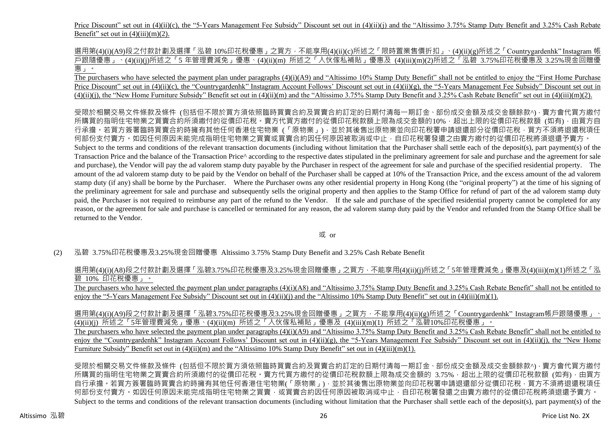Price Discount" set out in (4)(ii)(c), the "5-Years Management Fee Subsidy" Discount set out in (4)(ii)(j) and the "Altissimo 3.75% Stamp Duty Benefit and 3.25% Cash Rebate Benefit" set out in  $(4)(iii)(m)(2)$ .

選用第(4)(i)(A9)段之付款計劃及選擇「泓碧 10%印花稅優惠」之買方,不能享用(4)(ii)(c)所述之「限時置業售價折扣」、(4)(ii)(g)所述之「Countrygardenhk" Instagram 帳 戶跟隨優惠」、(4)(ii)(j)所述之「5 年管理費減免」優惠、(4)(ii)(m) 所述之「入伙傢私補貼」優惠及 (4)(iii)(m)(2)所述之「泓碧 3.75%印花稅優惠及 3.25%現金回贈優 惠」。

The purchasers who have selected the payment plan under paragraphs (4)(i)(A9) and "Altissimo 10% Stamp Duty Benefit" shall not be entitled to enjoy the "First Home Purchase Price Discount" set out in (4)(ii)(c), the "Countrygardenhk" Instagram Account Follows' Discount set out in (4)(ii)(g), the "5-Years Management Fee Subsidy" Discount set out in  $(4)(ii)(i)$ , the "New Home Furniture Subsidy" Benefit set out in  $(4)(ii)(m)$  and the "Altissimo 3.75% Stamp Duty Benefit and 3.25% Cash Rebate Benefit" set out in  $(4)(iii)(m)(2)$ .

受限於相關交易文件條款及條件 (包括但不限於買方須依照臨時買賣合約及買賣合約訂定的日期付清每一期訂金、部份成交金額及成交金額餘款^),賣方會代買方繳付 所購買的指明住宅物業之買賣合約所須繳付的從價印花稅。賣方代買方繳付的從價印花稅款額上限為成交金額的10%,超出上限的從價印花稅款額 (如有),由買方自 行承擔。若買方簽署臨時買賣合約時擁有其他任何香港住宅物業 (「原物業」) · 並於其後售出原物業並向印花稅署申請退還部分從價印花稅 · 買方不須將退還稅項任 何部份支付賣方。如因任何原因未能完成指明住宅物業之買賣或買賣合約因任何原因被取消或中止,自印花稅署發還之由賣方繳付的從價印花稅將須退還予賣方。 Subject to the terms and conditions of the relevant transaction documents (including without limitation that the Purchaser shall settle each of the deposit(s), part payment(s) of the Transaction Price and the balance of the Transaction Price^ according to the respective dates stipulated in the preliminary agreement for sale and purchase and the agreement for sale and purchase), the Vendor will pay the ad valorem stamp duty payable by the Purchaser in respect of the agreement for sale and purchase of the specified residential property. The amount of the ad valorem stamp duty to be paid by the Vendor on behalf of the Purchaser shall be capped at 10% of the Transaction Price, and the excess amount of the ad valorem stamp duty (if any) shall be borne by the Purchaser. Where the Purchaser owns any other residential property in Hong Kong (the "original property") at the time of his signing of the preliminary agreement for sale and purchase and subsequently sells the original property and then applies to the Stamp Office for refund of part of the ad valorem stamp duty paid, the Purchaser is not required to reimburse any part of the refund to the Vendor. If the sale and purchase of the specified residential property cannot be completed for any reason, or the agreement for sale and purchase is cancelled or terminated for any reason, the ad valorem stamp duty paid by the Vendor and refunded from the Stamp Office shall be returned to the Vendor.

或 or

(2) 泓碧 3.75%印花稅優惠及3.25%現金回贈優惠 Altissimo 3.75% Stamp Duty Benefit and 3.25% Cash Rebate Benefit

選用第(4)(i)(A8)段之付款計劃及選擇「泓碧3.75%印花稅優惠及3.25%現金回贈優惠」之買方,不能享用(4)(ii)(i)所述之「5年管理費減免」優惠及(4)(iii)(m)(1)所述之「泓 碧 10% 印花稅優惠」。

The purchasers who have selected the payment plan under paragraphs (4)(i)(A8) and "Altissimo 3.75% Stamp Duty Benefit and 3.25% Cash Rebate Benefit" shall not be entitled to enjoy the "5-Years Management Fee Subsidy" Discount set out in (4)(ii)(j) and the "Altissimo 10% Stamp Duty Benefit" set out in (4)(iii)(m)(1).

選用第(4)(i)(A9)段之付款計劃及選擇「泓碧3.75%印花稅優惠及3.25%現金回贈優惠」之買方,不能享用(4)(ii)(g)所述之「Countrygardenhk"Instagram帳戶跟隨優惠」 (4)(ii)(j) 所述之「5年管理費減免」優惠、(4)(ii)(m) 所述之「入伙傢私補貼」優惠及 (4)(iii)(m)(1) 所述之「泓碧10%印花稅優惠」。

The purchasers who have selected the payment plan under paragraphs (4)(i)(A9) and "Altissimo 3.75% Stamp Duty Benefit and 3.25% Cash Rebate Benefit" shall not be entitled to enjoy the "Countrygardenhk" Instagram Account Follows' Discount set out in  $(4)(ii)(g)$ , the "5-Years Management Fee Subsidy" Discount set out in  $(4)(ii)(i)$ , the "New Home Furniture Subsidy" Benefit set out in (4)(ii)(m) and the "Altissimo 10% Stamp Duty Benefit" set out in (4)(iii)(m)(1).

受限於相關交易文件條款及條件 (包括但不限於買方須依照臨時買賣合約及買賣合約訂定的日期付清每一期訂金、部份成交金額及成交金額餘款^),賣方會代買方繳付 所購買的指明住宅物業之買賣合約所須繳付的從價印花稅。賣方代買方繳付的從價印花稅款額上限為成交金額的 3.75%, 超出上限的從價印花稅款額 (如有), 由買方 自行承擔。若買方簽署臨時買賣合約時擁有其他任何香港住宅物業(「原物業」),並於其後售出原物業並向印花稅署申請退還部分從價印花稅,胃方不須將退還稅項任 何部份支付賣方。如因任何原因未能完成指明住宅物業之買賣,或買賣合約因任何原因被取消或中止,自印花稅署發還之由賣方繳付的從價印花稅將須退還予賣方。 Subject to the terms and conditions of the relevant transaction documents (including without limitation that the Purchaser shall settle each of the deposit(s), part payment(s) of the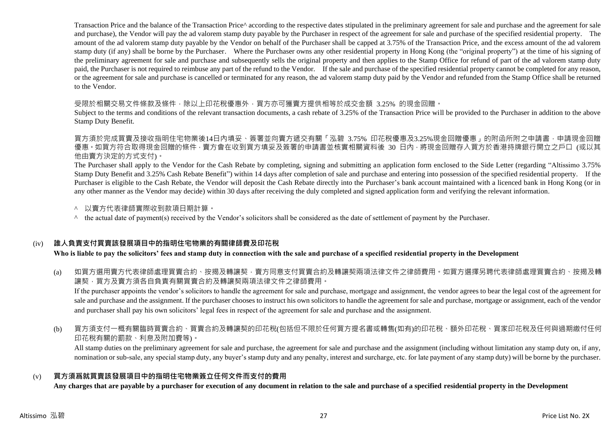Transaction Price and the balance of the Transaction Price^ according to the respective dates stipulated in the preliminary agreement for sale and purchase and the agreement for sale and purchase), the Vendor will pay the ad valorem stamp duty payable by the Purchaser in respect of the agreement for sale and purchase of the specified residential property. The amount of the ad valorem stamp duty payable by the Vendor on behalf of the Purchaser shall be capped at 3.75% of the Transaction Price, and the excess amount of the ad valorem stamp duty (if any) shall be borne by the Purchaser. Where the Purchaser owns any other residential property in Hong Kong (the "original property") at the time of his signing of the preliminary agreement for sale and purchase and subsequently sells the original property and then applies to the Stamp Office for refund of part of the ad valorem stamp duty paid, the Purchaser is not required to reimbuse any part of the refund to the Vendor. If the sale and purchase of the specified residential property cannot be completed for any reason, or the agreement for sale and purchase is cancelled or terminated for any reason, the ad valorem stamp duty paid by the Vendor and refunded from the Stamp Office shall be returned to the Vendor.

#### 受限於相關交易文件條款及條件,除以上印花稅優惠外,買方亦可獲賣方提供相等於成交金額 3.25% 的現金回贈。

Subject to the terms and conditions of the relevant transaction documents, a cash rebate of 3.25% of the Transaction Price will be provided to the Purchaser in addition to the above Stamp Duty Benefit.

買方須於完成買賣及接收指明住宅物業後14日內填妥、簽署並向賣方遞交有關「泓碧 3.75% 印花稅優惠及3.25%現金回贈優惠」的附函所附之申請書, 申請現金回贈 優惠 。如買方符合取得現金回贈的條件 · 賣方會在收到買方填妥及簽署的申請書並核實相關資料後 30 日内 · 將現金回贈存入買方於香港持牌銀行開立之戶口 (或以其 他由賣方決定的方式支付)。

The Purchaser shall apply to the Vendor for the Cash Rebate by completing, signing and submitting an application form enclosed to the Side Letter (regarding "Altissimo 3.75% Stamp Duty Benefit and 3.25% Cash Rebate Benefit") within 14 days after completion of sale and purchase and entering into possession of the specified residential property. If the Purchaser is eligible to the Cash Rebate, the Vendor will deposit the Cash Rebate directly into the Purchaser's bank account maintained with a licenced bank in Hong Kong (or in any other manner as the Vendor may decide) within 30 days after receiving the duly completed and signed application form and verifying the relevant information.

- ^ 以賣方代表律師實際收到款項日期計算。
- $\land$  the actual date of payment(s) received by the Vendor's solicitors shall be considered as the date of settlement of payment by the Purchaser.

## (iv) **誰人負責支付買賣該發展項目中的指明住宅物業的有關律師費及印花稅**

**Who is liable to pay the solicitors' fees and stamp duty in connection with the sale and purchase of a specified residential property in the Development**

(a) 如買方選用賣方代表律師處理買賣合約、按揭及轉讓契,賣方同意支付買賣合約及轉讓契兩項法律文件之律師費用。如買方選擇另聘代表律師處理買賣合約、按揭及轉 讓契,買方及賣方須各自負責有關買賣合約及轉讓契兩項法律文件之律師費用。

If the purchaser appoints the vendor's solicitors to handle the agreement for sale and purchase, mortgage and assignment, the vendor agrees to bear the legal cost of the agreement for sale and purchase and the assignment. If the purchaser chooses to instruct his own solicitors to handle the agreement for sale and purchase, mortgage or assignment, each of the vendor and purchaser shall pay his own solicitors' legal fees in respect of the agreement for sale and purchase and the assignment.

(b) 買方須支付一概有關臨時買賣合約、買賣合約及轉讓契的印花稅(包括但不限於任何買方提名書或轉售(如有)的印花稅、額外印花稅、買家印花稅及任何與過期繳付任何 印花稅有關的罰款、利息及附加費等)。

All stamp duties on the preliminary agreement for sale and purchase, the agreement for sale and purchase and the assignment (including without limitation any stamp duty on, if any, nomination or sub-sale, any special stamp duty, any buyer's stamp duty and any penalty, interest and surcharge, etc. for late payment of any stamp duty) will be borne by the purchaser.

#### (v) **買方須爲就買賣該發展項目中的指明住宅物業簽立任何文件而支付的費用**

**Any charges that are payable by a purchaser for execution of any document in relation to the sale and purchase of a specified residential property in the Development**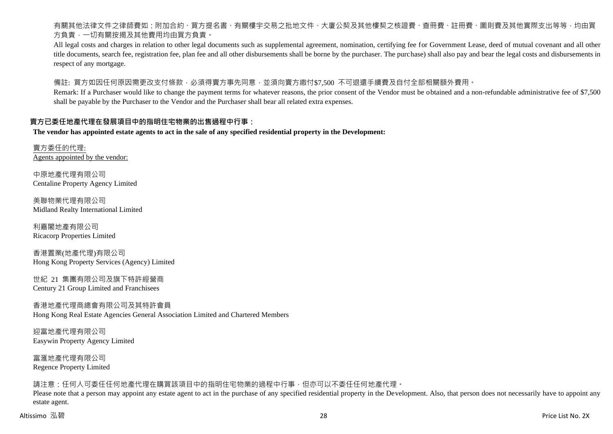有關其他法律文件之律師費如:附加合約、買方提名書、有關樓宇交易之批地文件、大廈公契及其他樓契之核證費、查冊費、註冊費、圖則費及其他實際支出等等,均由買 方負責,一切有關按揭及其他費用均由買方負責。

All legal costs and charges in relation to other legal documents such as supplemental agreement, nomination, certifying fee for Government Lease, deed of mutual covenant and all other title documents, search fee, registration fee, plan fee and all other disbursements shall be borne by the purchaser. The purchase) shall also pay and bear the legal costs and disbursements in respect of any mortgage.

備註: 買方如因任何原因需更改支付條款,必須得賣方事先同意,並須向賣方繳付\$7,500 不可退還手續費及自付全部相關額外費用。

Remark: If a Purchaser would like to change the payment terms for whatever reasons, the prior consent of the Vendor must be obtained and a non-refundable administrative fee of \$7,500 shall be payable by the Purchaser to the Vendor and the Purchaser shall bear all related extra expenses.

#### **賣方已委任地產代理在發展項目中的指明住宅物業的出售過程中行事:**

**The vendor has appointed estate agents to act in the sale of any specified residential property in the Development:**

賣方委任的代理: Agents appointed by the vendor:

中原地產代理有限公司 Centaline Property Agency Limited

美聯物業代理有限公司 Midland Realty International Limited

利嘉閣地產有限公司 Ricacorp Properties Limited

香港置業(地產代理)有限公司 Hong Kong Property Services (Agency) Limited

世紀 21 集團有限公司及旗下特許經營商 Century 21 Group Limited and Franchisees

香港地產代理商總會有限公司及其特許會員 Hong Kong Real Estate Agencies General Association Limited and Chartered Members

迎富地產代理有限公司 Easywin Property Agency Limited

富滙地產代理有限公司 Regence Property Limited

請注意:任何人可委任任何地產代理在購買該項目中的指明住宅物業的過程中行事,但亦可以不委任任何地產代理。

Please note that a person may appoint any estate agent to act in the purchase of any specified residential property in the Development. Also, that person does not necessarily have to appoint any estate agent.